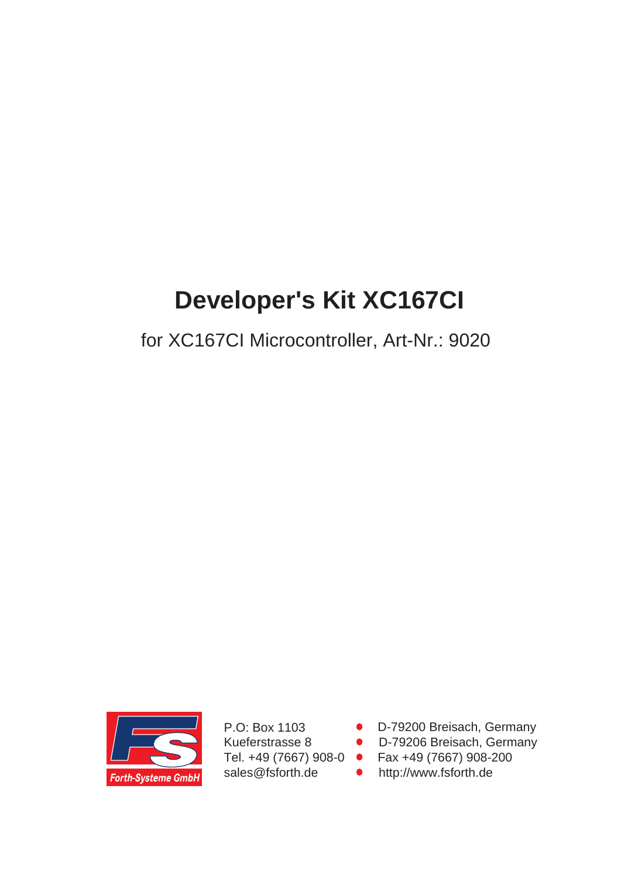# **Developer's Kit XC167CI**

## for XC167CI Microcontroller, Art-Nr.: 9020



P.O: Box 1103 Kueferstrasse 8 Tel. +49 (7667) 908-0 sales@fsforth.de

- D-79200 Breisach, Germany
- D-79206 Breisach, Germany
- Fax +49 (7667) 908-200
- http://www.fsforth.de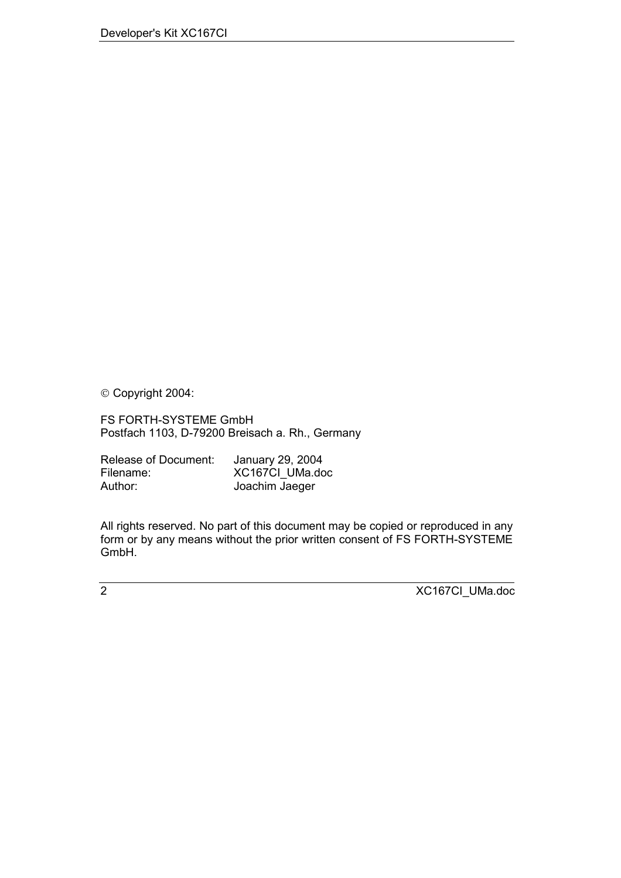Copyright 2004:

FS FORTH-SYSTEME GmbH Postfach 1103, D-79200 Breisach a. Rh., Germany

| Release of Document: | January 29, 2004 |
|----------------------|------------------|
| Filename:            | XC167Cl UMa.doc  |
| Author:              | Joachim Jaeger   |

All rights reserved. No part of this document may be copied or reproduced in any form or by any means without the prior written consent of FS FORTH-SYSTEME GmbH.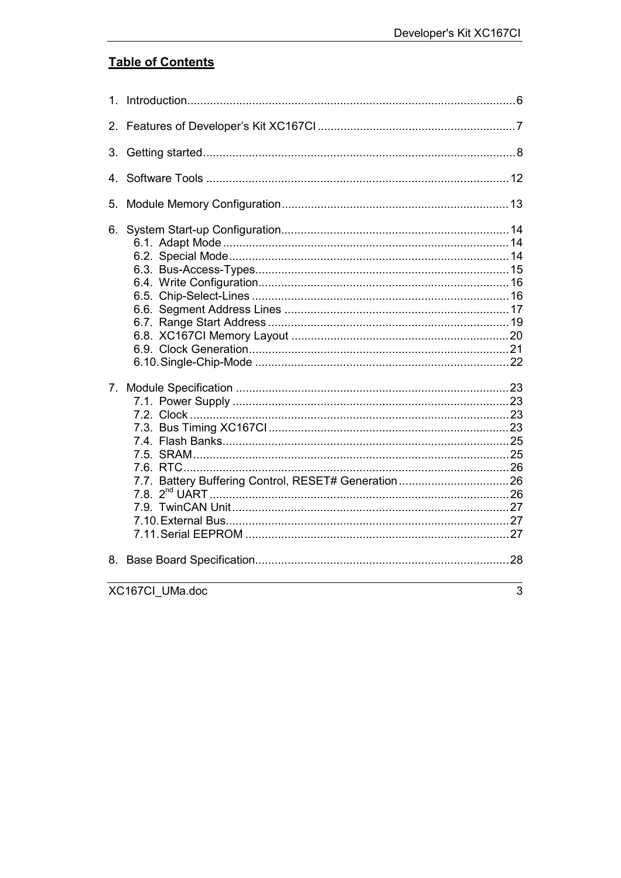### **Table of Contents**

| $1_{-}$ |                 |   |
|---------|-----------------|---|
| 2.      |                 |   |
| 3.      |                 |   |
| $4_{-}$ |                 |   |
| 5.      |                 |   |
| 6.      |                 |   |
|         |                 |   |
| 8.      |                 |   |
|         | XC167Cl_UMa.doc | 3 |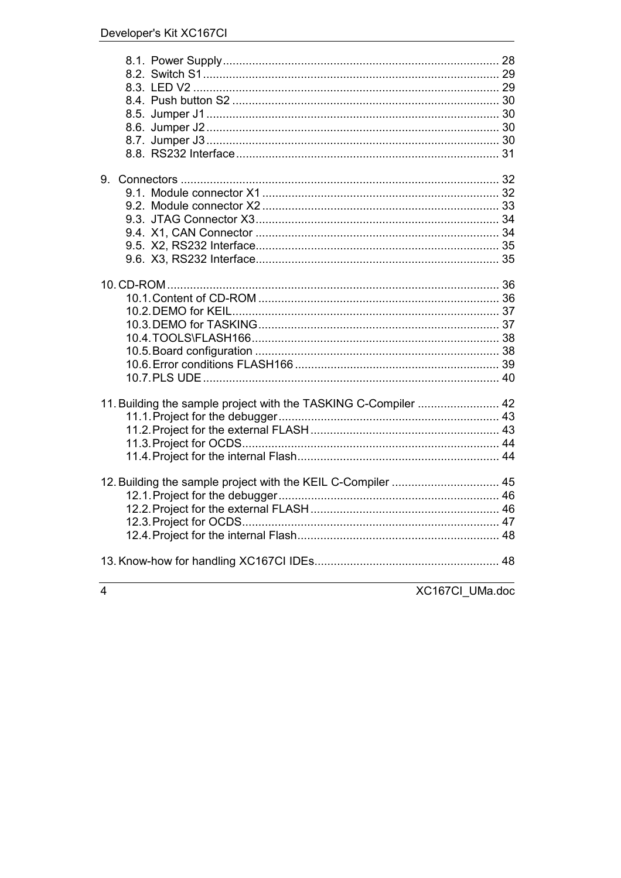|   | 11. Building the sample project with the TASKING C-Compiler  42 |  |
|---|-----------------------------------------------------------------|--|
|   |                                                                 |  |
|   |                                                                 |  |
|   |                                                                 |  |
|   | 12. Building the sample project with the KEIL C-Compiler  45    |  |
|   |                                                                 |  |
|   |                                                                 |  |
|   |                                                                 |  |
|   |                                                                 |  |
|   |                                                                 |  |
| 4 | XC167CI_UMa.doc                                                 |  |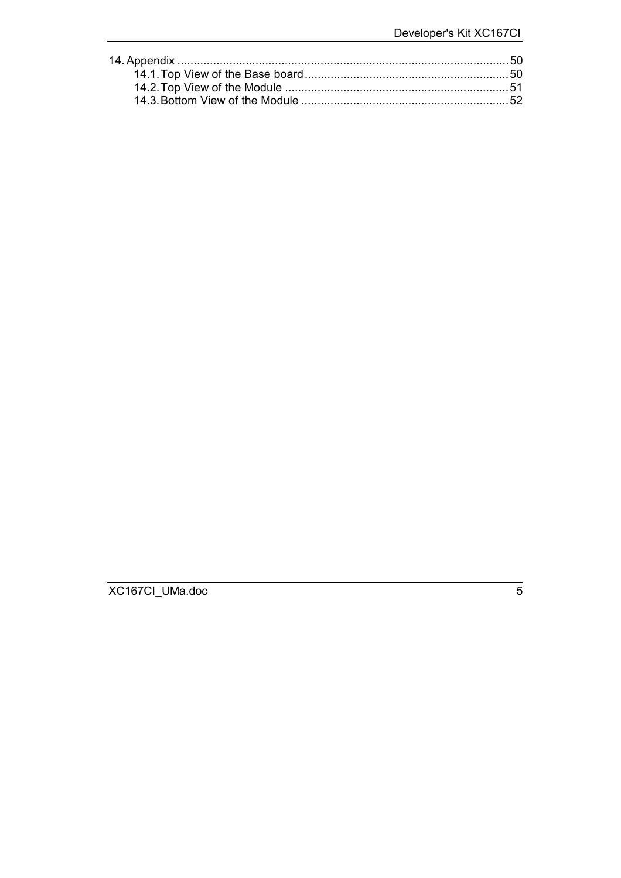XC167CI\_UMa.doc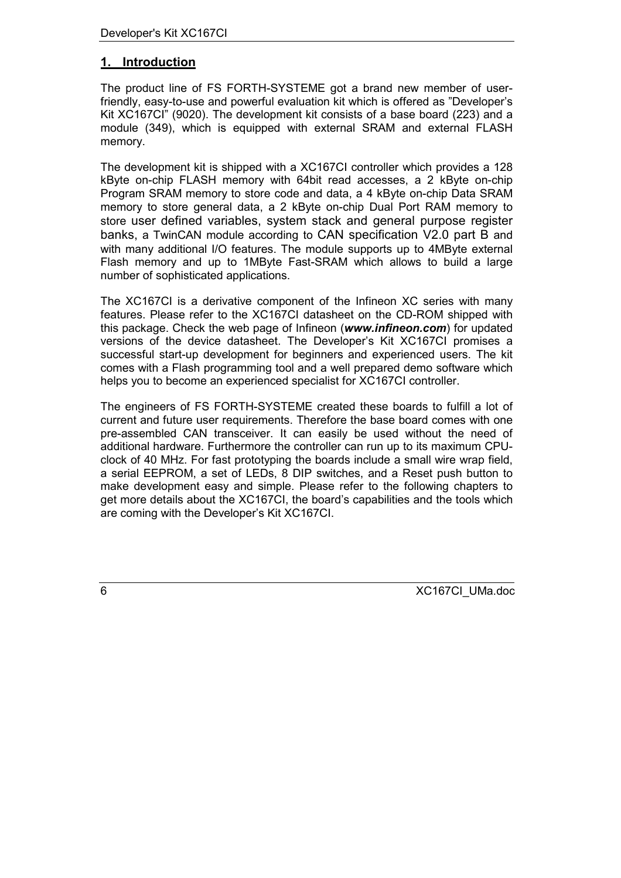### <span id="page-5-0"></span>**1. Introduction**

The product line of FS FORTH-SYSTEME got a brand new member of userfriendly, easy-to-use and powerful evaluation kit which is offered as "Developer's Kit XC167CI" (9020). The development kit consists of a base board (223) and a module (349), which is equipped with external SRAM and external FLASH memory.

The development kit is shipped with a XC167CI controller which provides a 128 kByte on-chip FLASH memory with 64bit read accesses, a 2 kByte on-chip Program SRAM memory to store code and data, a 4 kByte on-chip Data SRAM memory to store general data, a 2 kByte on-chip Dual Port RAM memory to store user defined variables, system stack and general purpose register banks, a TwinCAN module according to CAN specification V2.0 part B and with many additional I/O features. The module supports up to 4MByte external Flash memory and up to 1MByte Fast-SRAM which allows to build a large number of sophisticated applications.

The XC167CI is a derivative component of the Infineon XC series with many features. Please refer to the XC167CI datasheet on the CD-ROM shipped with this package. Check the web page of Infineon (*www.infineon.com*) for updated versions of the device datasheet. The Developer's Kit XC167CI promises a successful start-up development for beginners and experienced users. The kit comes with a Flash programming tool and a well prepared demo software which helps you to become an experienced specialist for XC167CI controller.

The engineers of FS FORTH-SYSTEME created these boards to fulfill a lot of current and future user requirements. Therefore the base board comes with one pre-assembled CAN transceiver. It can easily be used without the need of additional hardware. Furthermore the controller can run up to its maximum CPUclock of 40 MHz. For fast prototyping the boards include a small wire wrap field, a serial EEPROM, a set of LEDs, 8 DIP switches, and a Reset push button to make development easy and simple. Please refer to the following chapters to get more details about the XC167CI, the board's capabilities and the tools which are coming with the Developer's Kit XC167CI.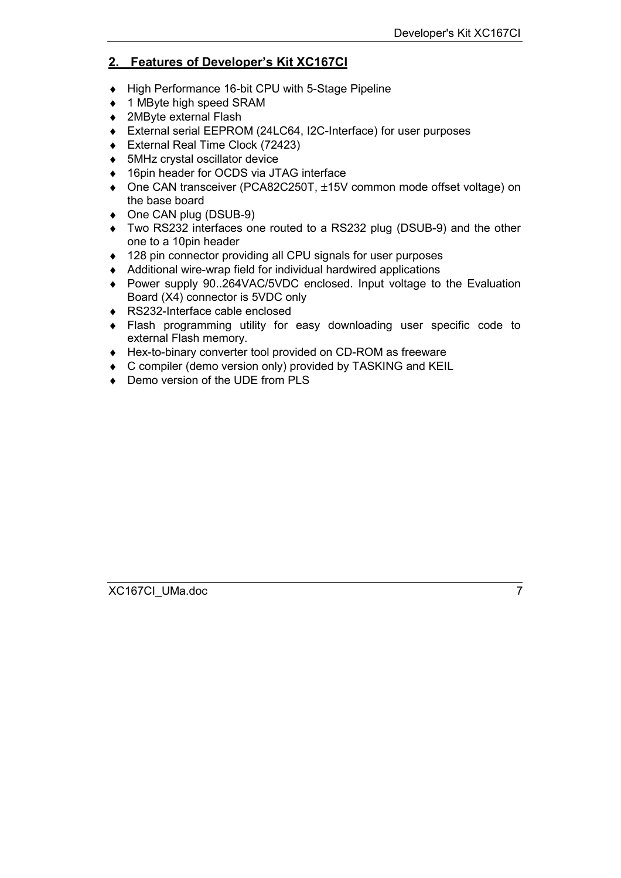### <span id="page-6-0"></span>**2. Features of Developer's Kit XC167CI**

- ♦ High Performance 16-bit CPU with 5-Stage Pipeline
- ♦ 1 MByte high speed SRAM
- ♦ 2MByte external Flash
- ♦ External serial EEPROM (24LC64, I2C-Interface) for user purposes
- ♦ External Real Time Clock (72423)
- ♦ 5MHz crystal oscillator device
- ◆ 16pin header for OCDS via JTAG interface
- ♦ One CAN transceiver (PCA82C250T, ±15V common mode offset voltage) on the base board
- ♦ One CAN plug (DSUB-9)
- ♦ Two RS232 interfaces one routed to a RS232 plug (DSUB-9) and the other one to a 10pin header
- ♦ 128 pin connector providing all CPU signals for user purposes
- ♦ Additional wire-wrap field for individual hardwired applications
- ♦ Power supply 90..264VAC/5VDC enclosed. Input voltage to the Evaluation Board (X4) connector is 5VDC only
- ♦ RS232-Interface cable enclosed
- ♦ Flash programming utility for easy downloading user specific code to external Flash memory.
- ♦ Hex-to-binary converter tool provided on CD-ROM as freeware
- ♦ C compiler (demo version only) provided by TASKING and KEIL
- ♦ Demo version of the UDE from PLS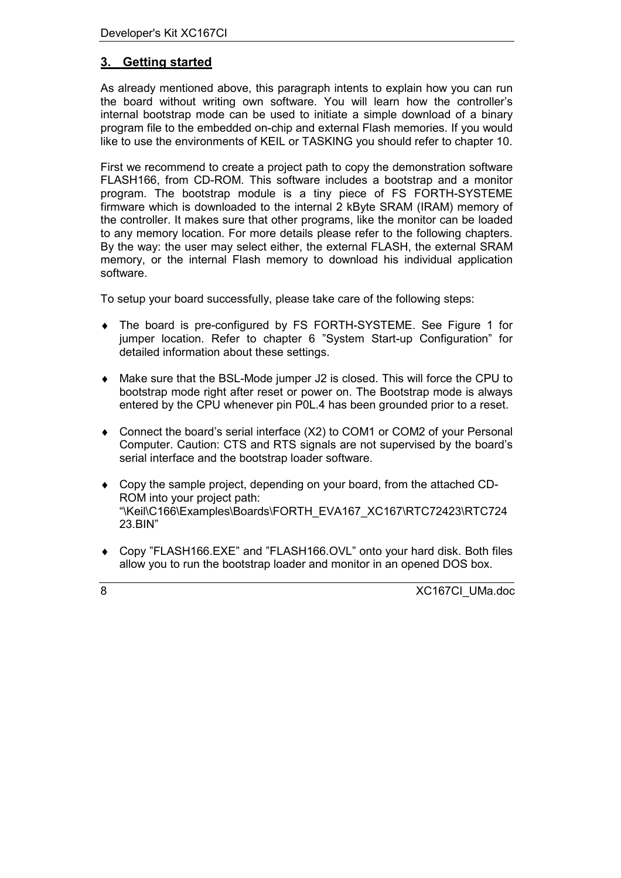### <span id="page-7-0"></span>**3. Getting started**

As already mentioned above, this paragraph intents to explain how you can run the board without writing own software. You will learn how the controller's internal bootstrap mode can be used to initiate a simple download of a binary program file to the embedded on-chip and external Flash memories. If you would like to use the environments of KEIL or TASKING you should refer to chapter [10.](#page-35-0)

First we recommend to create a project path to copy the demonstration software FLASH166, from CD-ROM. This software includes a bootstrap and a monitor program. The bootstrap module is a tiny piece of FS FORTH-SYSTEME firmware which is downloaded to the internal 2 kByte SRAM (IRAM) memory of the controller. It makes sure that other programs, like the monitor can be loaded to any memory location. For more details please refer to the following chapters. By the way: the user may select either, the external FLASH, the external SRAM memory, or the internal Flash memory to download his individual application software.

To setup your board successfully, please take care of the following steps:

- The board is pre-configured by FS FORTH-SYSTEME. See Figure 1 for jumper location. Refer to chapter [6 "System Start-up Configuration"](#page-13-0) for detailed information about these settings.
- ♦ Make sure that the BSL-Mode jumper J2 is closed. This will force the CPU to bootstrap mode right after reset or power on. The Bootstrap mode is always entered by the CPU whenever pin P0L.4 has been grounded prior to a reset.
- ♦ Connect the board's serial interface (X2) to COM1 or COM2 of your Personal Computer. Caution: CTS and RTS signals are not supervised by the board's serial interface and the bootstrap loader software.
- ♦ Copy the sample project, depending on your board, from the attached CD-ROM into your project path: "\Keil\C166\Examples\Boards\FORTH\_EVA167\_XC167\RTC72423\RTC724 23.BIN"
- ♦ Copy "FLASH166.EXE" and "FLASH166.OVL" onto your hard disk. Both files allow you to run the bootstrap loader and monitor in an opened DOS box.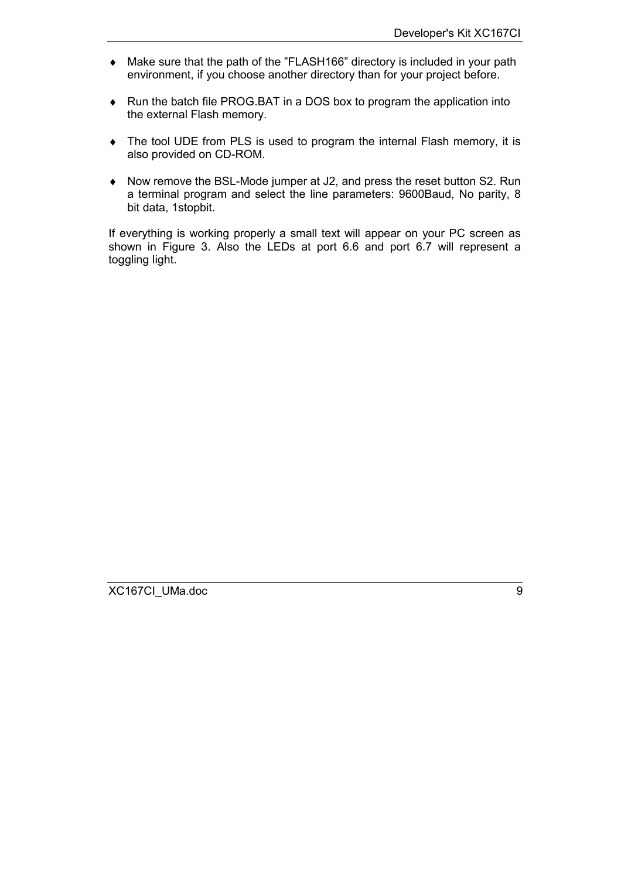- ♦ Make sure that the path of the "FLASH166" directory is included in your path environment, if you choose another directory than for your project before.
- ♦ Run the batch file PROG.BAT in a DOS box to program the application into the external Flash memory.
- ♦ The tool UDE from PLS is used to program the internal Flash memory, it is also provided on CD-ROM.
- ♦ Now remove the BSL-Mode jumper at J2, and press the reset button S2. Run a terminal program and select the line parameters: 9600Baud, No parity, 8 bit data, 1stopbit.

If everything is working properly a small text will appear on your PC screen as shown in Figure 3. Also the LEDs at port 6.6 and port 6.7 will represent a toggling light.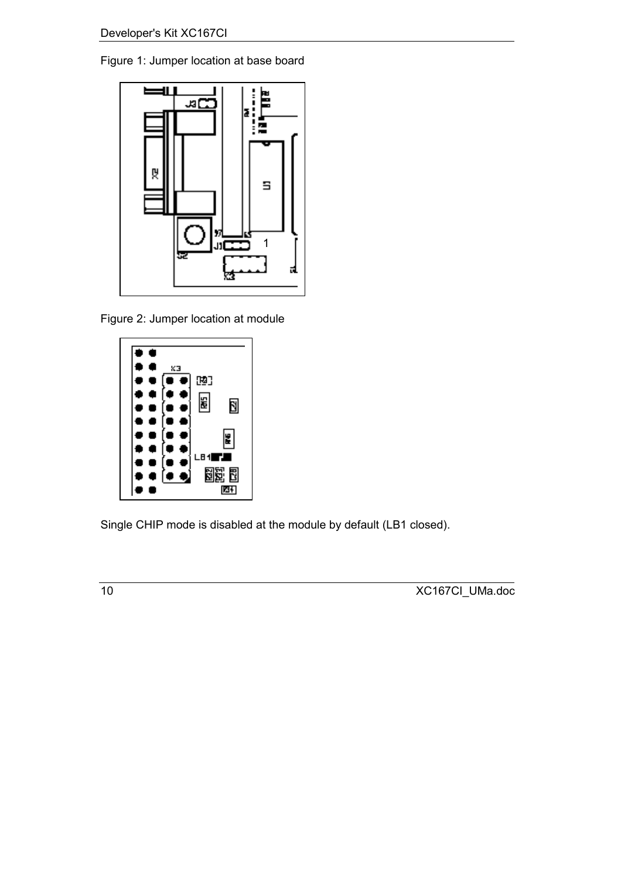Figure 1: Jumper location at base board



Figure 2: Jumper location at module



Single CHIP mode is disabled at the module by default (LB1 closed).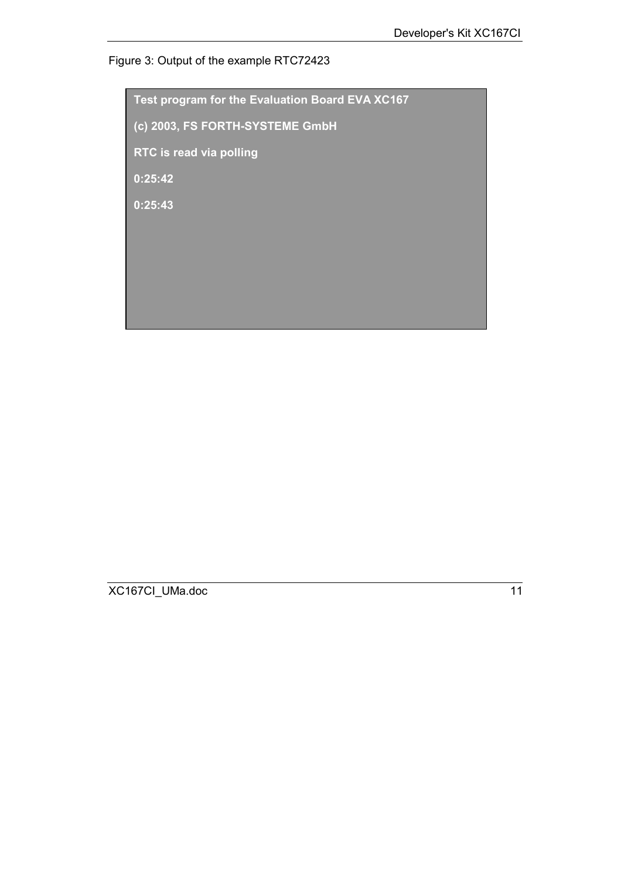### Figure 3: Output of the example RTC72423

**Test program for the Evaluation Board EVA XC167 (c) 2003, FS FORTH-SYSTEME GmbH RTC is read via polling 0:25:42 0:25:43**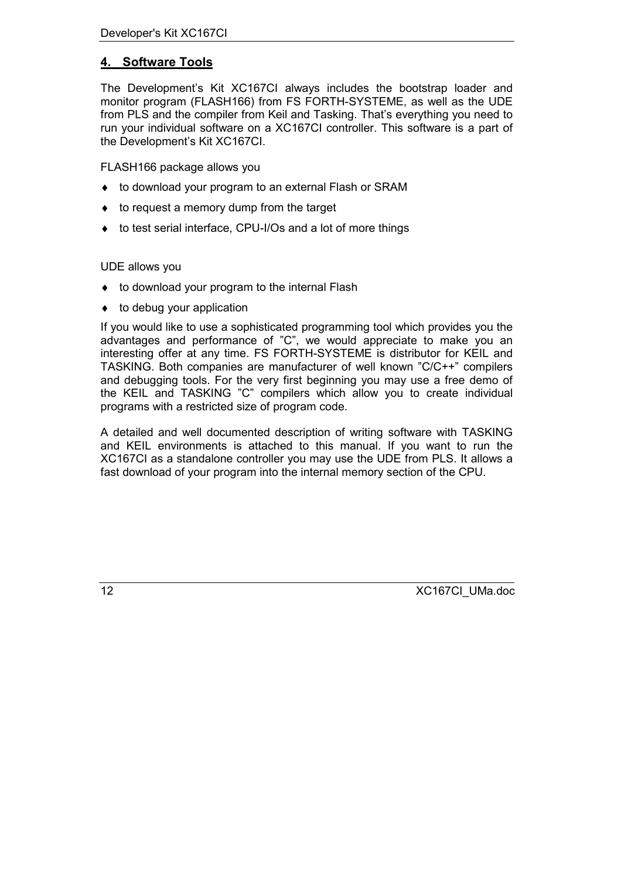### <span id="page-11-0"></span>**4. Software Tools**

The Development's Kit XC167CI always includes the bootstrap loader and monitor program (FLASH166) from FS FORTH-SYSTEME, as well as the UDE from PLS and the compiler from Keil and Tasking. That's everything you need to run your individual software on a XC167CI controller. This software is a part of the Development's Kit XC167CI.

FLASH166 package allows you

- ♦ to download your program to an external Flash or SRAM
- ♦ to request a memory dump from the target
- ♦ to test serial interface, CPU-I/Os and a lot of more things

#### UDE allows you

- ♦ to download your program to the internal Flash
- $\bullet$  to debug your application

If you would like to use a sophisticated programming tool which provides you the advantages and performance of "C", we would appreciate to make you an interesting offer at any time. FS FORTH-SYSTEME is distributor for KEIL and TASKING. Both companies are manufacturer of well known "C/C++" compilers and debugging tools. For the very first beginning you may use a free demo of the KEIL and TASKING "C" compilers which allow you to create individual programs with a restricted size of program code.

A detailed and well documented description of writing software with TASKING and KEIL environments is attached to this manual. If you want to run the XC167CI as a standalone controller you may use the UDE from PLS. It allows a fast download of your program into the internal memory section of the CPU.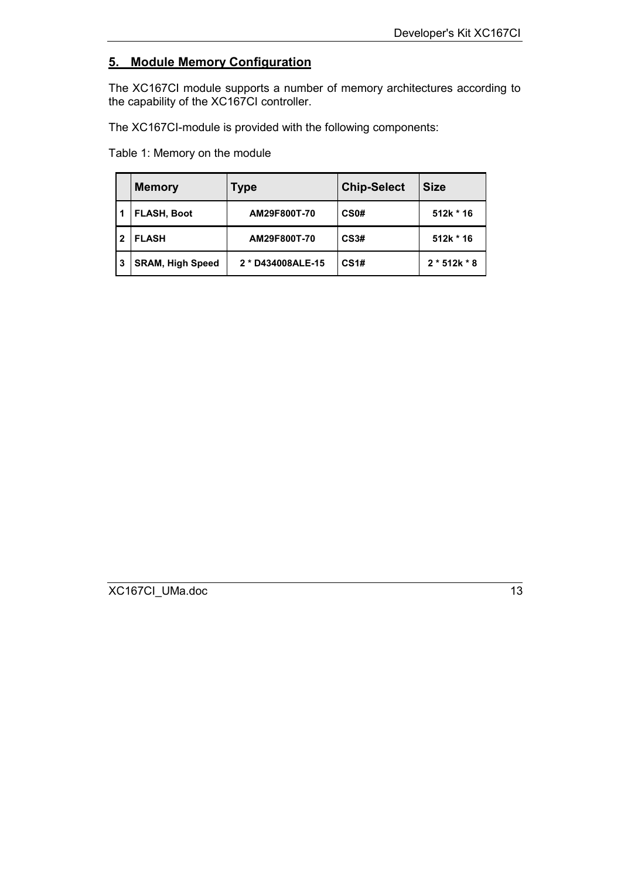### <span id="page-12-0"></span>**5. Module Memory Configuration**

The XC167CI module supports a number of memory architectures according to the capability of the XC167CI controller.

The XC167CI-module is provided with the following components:

Table 1: Memory on the module

|    | <b>Memory</b>           | Type              | <b>Chip-Select</b> | <b>Size</b>    |
|----|-------------------------|-------------------|--------------------|----------------|
|    | <b>FLASH, Boot</b>      | AM29F800T-70      | CS <sub>0</sub> #  | 512k * 16      |
| 2  | <b>FLASH</b>            | AM29F800T-70      | <b>CS3#</b>        | 512k * 16      |
| -3 | <b>SRAM, High Speed</b> | 2 * D434008ALE-15 | CS <sub>1#</sub>   | $2 * 512k * 8$ |

XC167CI\_UMa.doc 13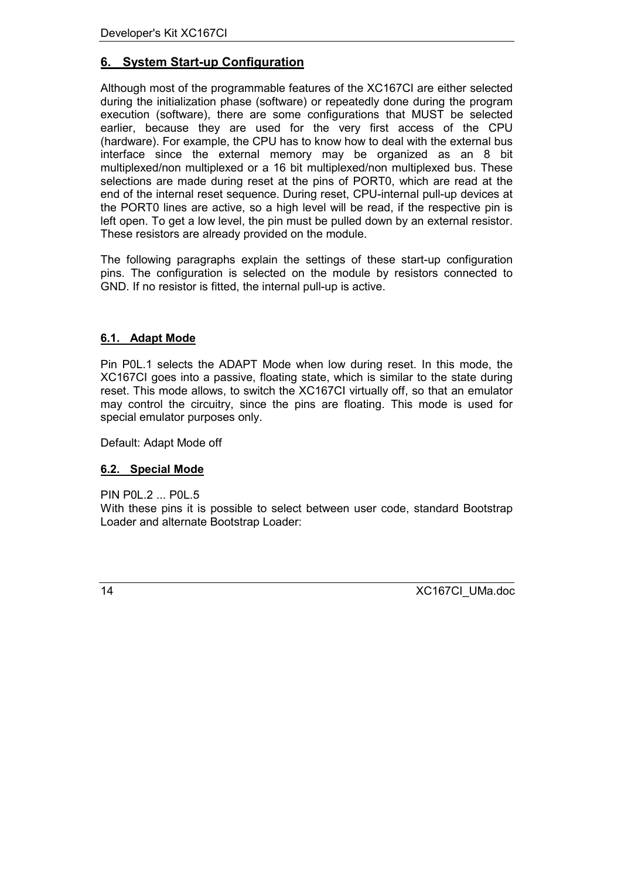### <span id="page-13-0"></span>**6. System Start-up Configuration**

Although most of the programmable features of the XC167CI are either selected during the initialization phase (software) or repeatedly done during the program execution (software), there are some configurations that MUST be selected earlier, because they are used for the very first access of the CPU (hardware). For example, the CPU has to know how to deal with the external bus interface since the external memory may be organized as an 8 bit multiplexed/non multiplexed or a 16 bit multiplexed/non multiplexed bus. These selections are made during reset at the pins of PORT0, which are read at the end of the internal reset sequence. During reset, CPU-internal pull-up devices at the PORT0 lines are active, so a high level will be read, if the respective pin is left open. To get a low level, the pin must be pulled down by an external resistor. These resistors are already provided on the module.

The following paragraphs explain the settings of these start-up configuration pins. The configuration is selected on the module by resistors connected to GND. If no resistor is fitted, the internal pull-up is active.

#### **6.1. Adapt Mode**

Pin P0L.1 selects the ADAPT Mode when low during reset. In this mode, the XC167CI goes into a passive, floating state, which is similar to the state during reset. This mode allows, to switch the XC167CI virtually off, so that an emulator may control the circuitry, since the pins are floating. This mode is used for special emulator purposes only.

Default: Adapt Mode off

#### **6.2. Special Mode**

PIN P0L.2 ... P0L.5

With these pins it is possible to select between user code, standard Bootstrap Loader and alternate Bootstrap Loader: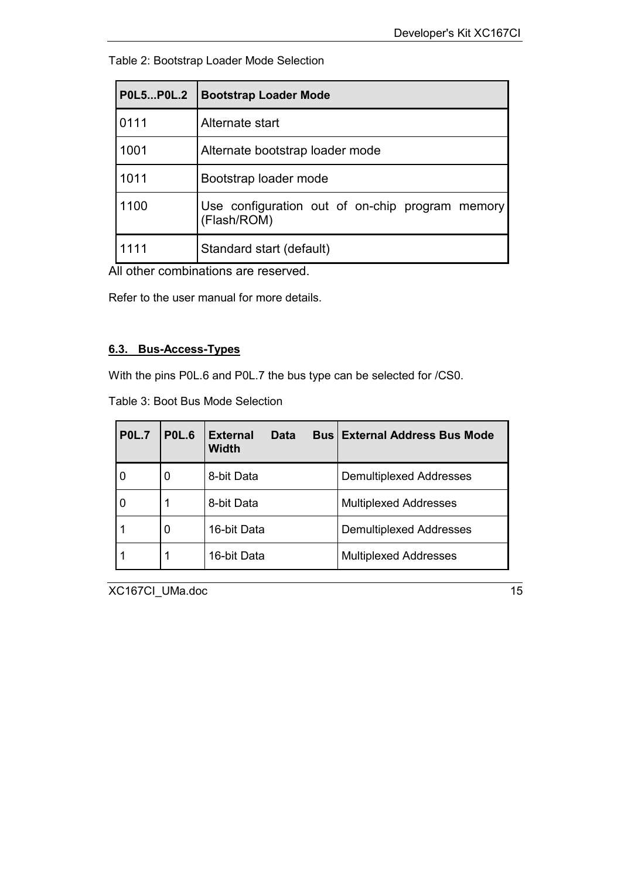<span id="page-14-0"></span>Table 2: Bootstrap Loader Mode Selection

| <b>P0L5P0L.2</b> | <b>Bootstrap Loader Mode</b>                                   |  |  |  |
|------------------|----------------------------------------------------------------|--|--|--|
| 0111             | Alternate start                                                |  |  |  |
| 1001             | Alternate bootstrap loader mode                                |  |  |  |
| 1011             | Bootstrap loader mode                                          |  |  |  |
| 1100             | Use configuration out of on-chip program memory<br>(Flash/ROM) |  |  |  |
| 1111             | Standard start (default)                                       |  |  |  |

All other combinations are reserved.

Refer to the user manual for more details.

#### **6.3. Bus-Access-Types**

With the pins P0L.6 and P0L.7 the bus type can be selected for /CS0.

Table 3: Boot Bus Mode Selection

| <b>P0L.7</b>     | <b>P0L.6</b> | <b>External</b><br>Data<br><b>Width</b> | <b>Bus External Address Bus Mode</b> |
|------------------|--------------|-----------------------------------------|--------------------------------------|
| 0                | 0            | 8-bit Data                              | <b>Demultiplexed Addresses</b>       |
| $\boldsymbol{0}$ | 1            | 8-bit Data                              | <b>Multiplexed Addresses</b>         |
|                  | 0            | 16-bit Data                             | <b>Demultiplexed Addresses</b>       |
|                  | 1            | 16-bit Data                             | <b>Multiplexed Addresses</b>         |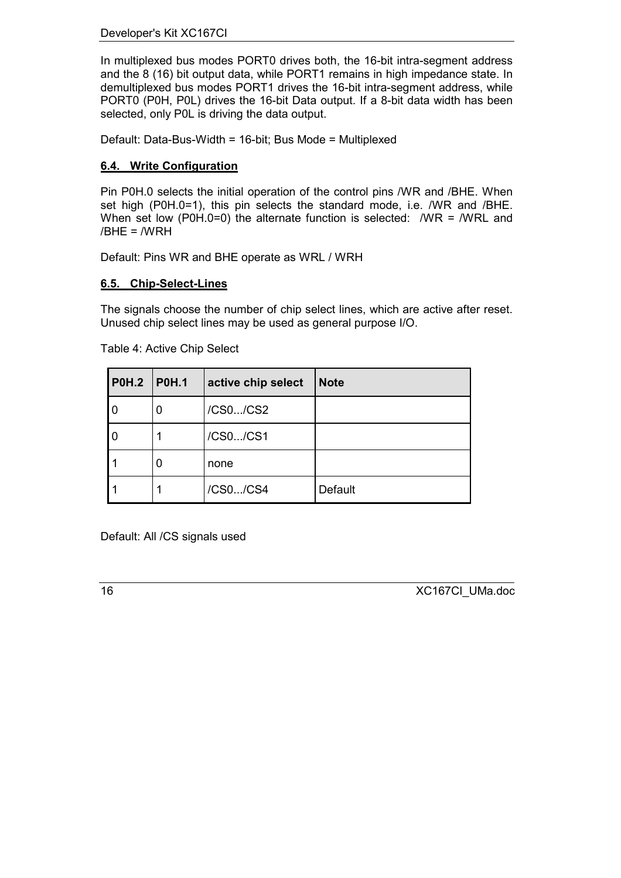#### <span id="page-15-0"></span>Developer's Kit XC167CI

In multiplexed bus modes PORT0 drives both, the 16-bit intra-segment address and the 8 (16) bit output data, while PORT1 remains in high impedance state. In demultiplexed bus modes PORT1 drives the 16-bit intra-segment address, while PORT0 (P0H, P0L) drives the 16-bit Data output. If a 8-bit data width has been selected, only P0L is driving the data output.

Default: Data-Bus-Width = 16-bit; Bus Mode = Multiplexed

#### **6.4. Write Configuration**

Pin P0H.0 selects the initial operation of the control pins /WR and /BHE. When set high (P0H.0=1), this pin selects the standard mode, i.e. /WR and /BHE. When set low (P0H.0=0) the alternate function is selected: /WR = /WRL and /BHE = /WRH

Default: Pins WR and BHE operate as WRL / WRH

#### **6.5. Chip-Select-Lines**

The signals choose the number of chip select lines, which are active after reset. Unused chip select lines may be used as general purpose I/O.

| <b>P0H.2</b> | POH.1 | active chip select | <b>Note</b>    |
|--------------|-------|--------------------|----------------|
| 0            | 0     | /CS0/CS2           |                |
| 0            |       | /CS0/CS1           |                |
|              | 0     | none               |                |
|              |       | /CS0/CS4           | <b>Default</b> |

Table 4: Active Chip Select

Default: All /CS signals used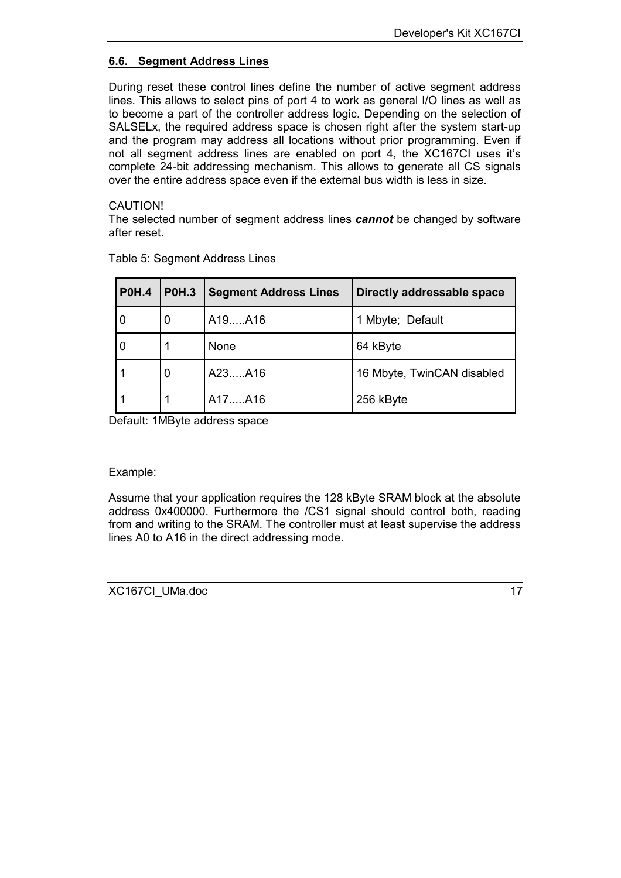#### <span id="page-16-0"></span>**6.6. Segment Address Lines**

During reset these control lines define the number of active segment address lines. This allows to select pins of port 4 to work as general I/O lines as well as to become a part of the controller address logic. Depending on the selection of SALSELx, the required address space is chosen right after the system start-up and the program may address all locations without prior programming. Even if not all segment address lines are enabled on port 4, the XC167CI uses it's complete 24-bit addressing mechanism. This allows to generate all CS signals over the entire address space even if the external bus width is less in size.

#### CAUTION!

The selected number of segment address lines *cannot* be changed by software after reset.

| <b>P0H.4</b> | <b>P0H.3</b><br><b>Segment Address Lines</b> |        | Directly addressable space |
|--------------|----------------------------------------------|--------|----------------------------|
| 0            | 0                                            | A19A16 | 1 Mbyte; Default           |
| 0            |                                              | None   | 64 kByte                   |
|              | 0                                            | A23A16 | 16 Mbyte, TwinCAN disabled |
|              |                                              | A17A16 | 256 kByte                  |

Table 5: Segment Address Lines

Default: 1MByte address space

#### Example:

Assume that your application requires the 128 kByte SRAM block at the absolute address 0x400000. Furthermore the /CS1 signal should control both, reading from and writing to the SRAM. The controller must at least supervise the address lines A0 to A16 in the direct addressing mode.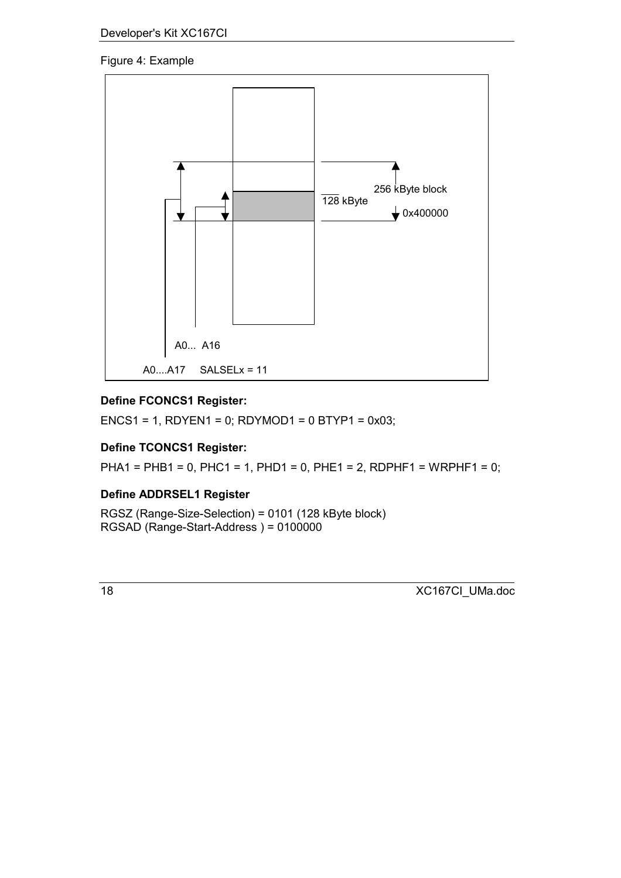### Figure 4: Example



### **Define FCONCS1 Register:**

ENCS1 = 1, RDYEN1 = 0; RDYMOD1 =  $0$  BTYP1 =  $0x03$ ;

### **Define TCONCS1 Register:**

PHA1 = PHB1 = 0, PHC1 = 1, PHD1 = 0, PHE1 = 2, RDPHF1 = WRPHF1 = 0;

### **Define ADDRSEL1 Register**

RGSZ (Range-Size-Selection) = 0101 (128 kByte block) RGSAD (Range-Start-Address ) = 0100000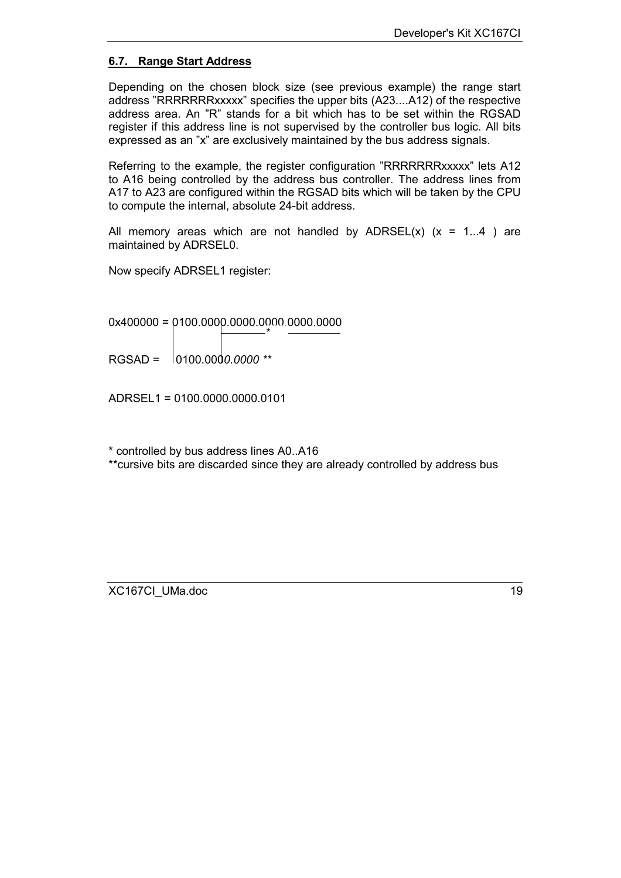#### <span id="page-18-0"></span>**6.7. Range Start Address**

Depending on the chosen block size (see previous example) the range start address "RRRRRRRxxxxx" specifies the upper bits (A23....A12) of the respective address area. An "R" stands for a bit which has to be set within the RGSAD register if this address line is not supervised by the controller bus logic. All bits expressed as an "x" are exclusively maintained by the bus address signals.

Referring to the example, the register configuration "RRRRRRRxxxxx" lets A12 to A16 being controlled by the address bus controller. The address lines from A17 to A23 are configured within the RGSAD bits which will be taken by the CPU to compute the internal, absolute 24-bit address.

All memory areas which are not handled by  $ADRSEL(x)$  (x = 1...4 ) are maintained by ADRSEL0.

Now specify ADRSEL1 register:

0x400000 = 0100.0000.0000.0000.0000.0000 \*

RGSAD = 0100.000*0.0000 \*\**

ADRSEL1 = 0100.0000.0000.0101

\* controlled by bus address lines A0..A16

\*\*cursive bits are discarded since they are already controlled by address bus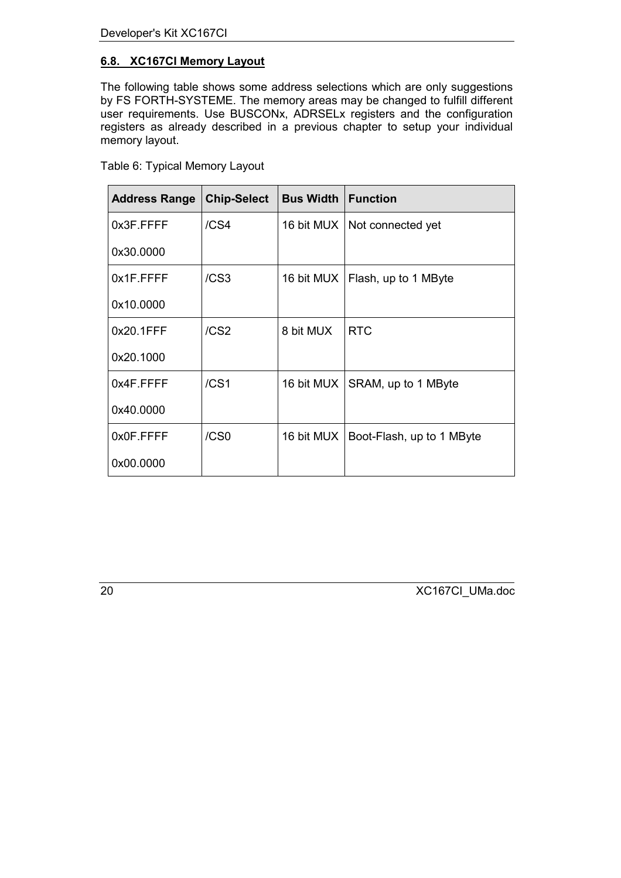### <span id="page-19-0"></span>**6.8. XC167CI Memory Layout**

The following table shows some address selections which are only suggestions by FS FORTH-SYSTEME. The memory areas may be changed to fulfill different user requirements. Use BUSCONx, ADRSELx registers and the configuration registers as already described in a previous chapter to setup your individual memory layout.

| <b>Address Range</b> | <b>Chip-Select</b> | <b>Bus Width   Function</b> |                                        |
|----------------------|--------------------|-----------------------------|----------------------------------------|
| 0x3F.FFFF            | /CS4               |                             | 16 bit MUX   Not connected yet         |
| 0x30.0000            |                    |                             |                                        |
| 0x1F.FFFF            | /CS <sub>3</sub>   |                             | 16 bit MUX   Flash, up to 1 MByte      |
| 0x10.0000            |                    |                             |                                        |
| 0x20.1FFF            | /CS <sub>2</sub>   | 8 bit MUX                   | <b>RTC</b>                             |
| 0x20.1000            |                    |                             |                                        |
| 0x4F.FFFF            | /CS1               |                             | 16 bit MUX   SRAM, up to 1 MByte       |
| 0x40.0000            |                    |                             |                                        |
| 0x0F.FFFF            | /CS0               |                             | 16 bit MUX   Boot-Flash, up to 1 MByte |
| 0x00.0000            |                    |                             |                                        |

Table 6: Typical Memory Layout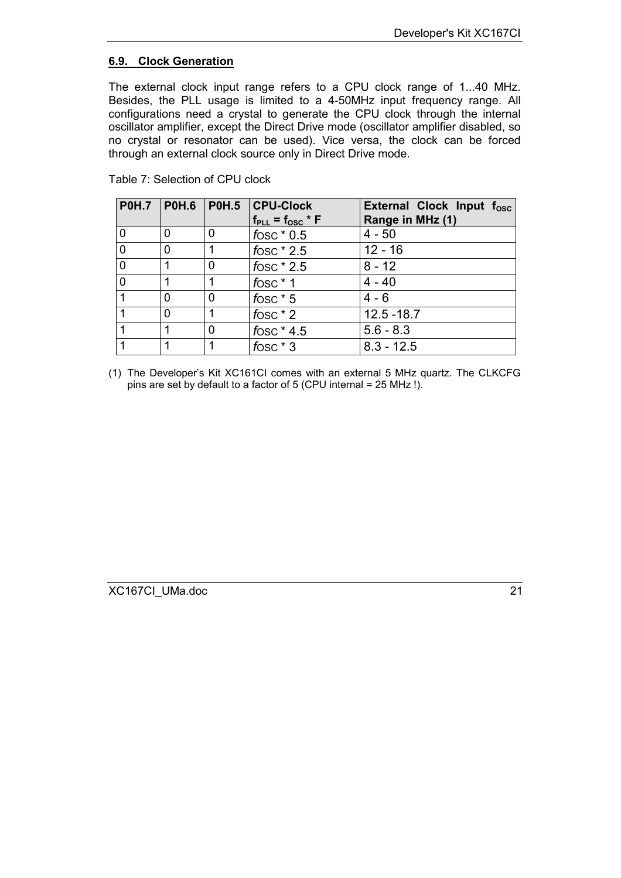#### <span id="page-20-0"></span>**6.9. Clock Generation**

The external clock input range refers to a CPU clock range of 1...40 MHz. Besides, the PLL usage is limited to a 4-50MHz input frequency range. All configurations need a crystal to generate the CPU clock through the internal oscillator amplifier, except the Direct Drive mode (oscillator amplifier disabled, so no crystal or resonator can be used). Vice versa, the clock can be forced through an external clock source only in Direct Drive mode.

|                |   |   | P0H.7   P0H.6   P0H.5   CPU-Clock | External Clock Input f <sub>osc</sub> |
|----------------|---|---|-----------------------------------|---------------------------------------|
|                |   |   | $f_{PLL} = f_{OSC} * F$           | Range in MHz (1)                      |
|                | 0 | 0 | fosc $*0.5$                       | $4 - 50$                              |
| $\overline{0}$ | 0 |   | fosc $*2.5$                       | $12 - 16$                             |
| $\mathbf 0$    |   | 0 | fosc $*$ 2.5                      | $8 - 12$                              |
| $\mathbf{0}$   |   |   | $f$ OSC $*$ 1                     | $4 - 40$                              |
|                | 0 | 0 | fosc $*$ 5                        | $4 - 6$                               |
|                | 0 |   | fosc $*$ 2                        | $12.5 - 18.7$                         |
|                |   | 0 | fosc $*$ 4.5                      | $5.6 - 8.3$                           |
|                |   |   | $f$ OSC $*$ 3                     | $8.3 - 12.5$                          |

Table 7: Selection of CPU clock

(1) The Developer's Kit XC161CI comes with an external 5 MHz quartz. The CLKCFG pins are set by default to a factor of 5 (CPU internal = 25 MHz !).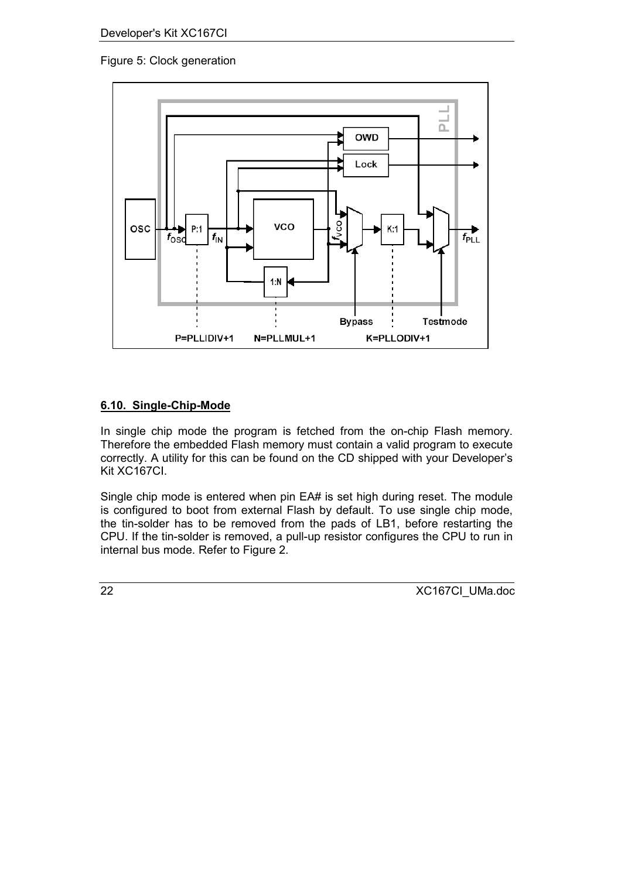### <span id="page-21-0"></span>Figure 5: Clock generation



#### **6.10. Single-Chip-Mode**

In single chip mode the program is fetched from the on-chip Flash memory. Therefore the embedded Flash memory must contain a valid program to execute correctly. A utility for this can be found on the CD shipped with your Developer's Kit XC167CI.

Single chip mode is entered when pin EA# is set high during reset. The module is configured to boot from external Flash by default. To use single chip mode, the tin-solder has to be removed from the pads of LB1, before restarting the CPU. If the tin-solder is removed, a pull-up resistor configures the CPU to run in internal bus mode. Refer to Figure 2.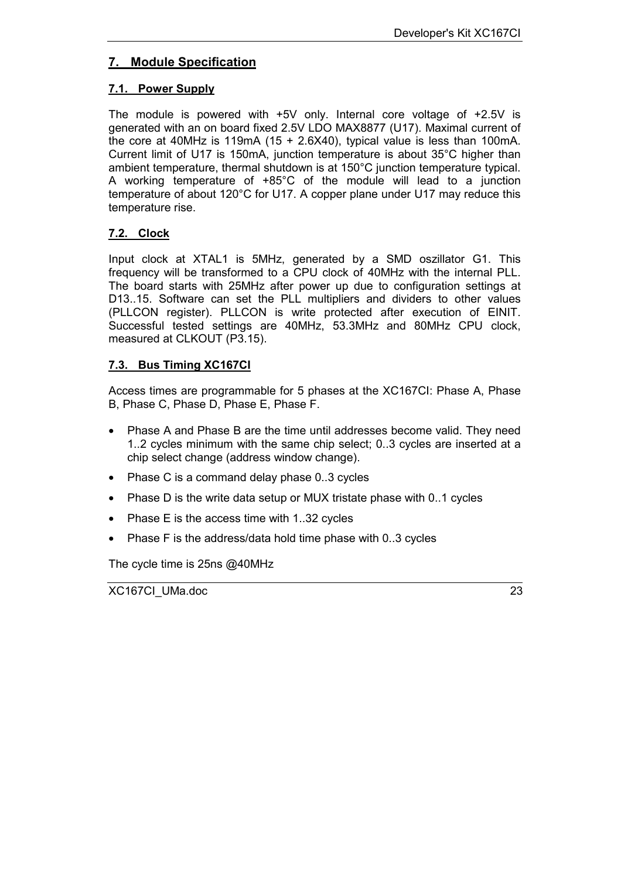### <span id="page-22-0"></span>**7. Module Specification**

#### **7.1. Power Supply**

The module is powered with +5V only. Internal core voltage of +2.5V is generated with an on board fixed 2.5V LDO MAX8877 (U17). Maximal current of the core at 40MHz is 119mA (15 + 2.6X40), typical value is less than 100mA. Current limit of U17 is 150mA, junction temperature is about 35°C higher than ambient temperature, thermal shutdown is at 150°C junction temperature typical. A working temperature of +85°C of the module will lead to a junction temperature of about 120°C for U17. A copper plane under U17 may reduce this temperature rise.

#### **7.2. Clock**

Input clock at XTAL1 is 5MHz, generated by a SMD oszillator G1. This frequency will be transformed to a CPU clock of 40MHz with the internal PLL. The board starts with 25MHz after power up due to configuration settings at D13..15. Software can set the PLL multipliers and dividers to other values (PLLCON register). PLLCON is write protected after execution of EINIT. Successful tested settings are 40MHz, 53.3MHz and 80MHz CPU clock, measured at CLKOUT (P3.15).

#### **7.3. Bus Timing XC167CI**

Access times are programmable for 5 phases at the XC167CI: Phase A, Phase B, Phase C, Phase D, Phase E, Phase F.

- Phase A and Phase B are the time until addresses become valid. They need 1..2 cycles minimum with the same chip select; 0..3 cycles are inserted at a chip select change (address window change).
- Phase C is a command delay phase 0..3 cycles
- Phase D is the write data setup or MUX tristate phase with 0..1 cycles
- Phase E is the access time with 1..32 cycles
- Phase F is the address/data hold time phase with 0..3 cycles

The cycle time is 25ns @40MHz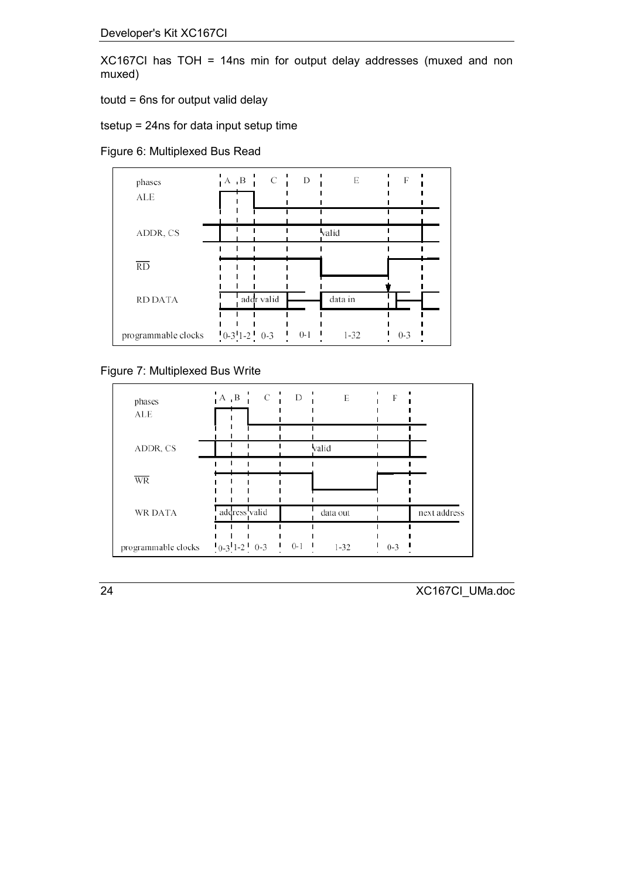XC167CI has TOH = 14ns min for output delay addresses (muxed and non muxed)

toutd = 6ns for output valid delay

tsetup = 24ns for data input setup time

Figure 6: Multiplexed Bus Read



#### Figure 7: Multiplexed Bus Write

| phases<br><b>ALE</b> | $A$ $B$ $C$ $D$ |                                      | E        | F       |              |
|----------------------|-----------------|--------------------------------------|----------|---------|--------------|
| ADDR, CS             |                 |                                      | valid    |         |              |
| <b>WR</b>            |                 |                                      |          |         |              |
| <b>WR DATA</b>       | address valid   |                                      | data out |         | next address |
| programmable clocks  | $0-3$ 1-2 $0-3$ | $0-1$ $\blacksquare$<br>$\mathbf{I}$ | $1 - 32$ | $0 - 3$ |              |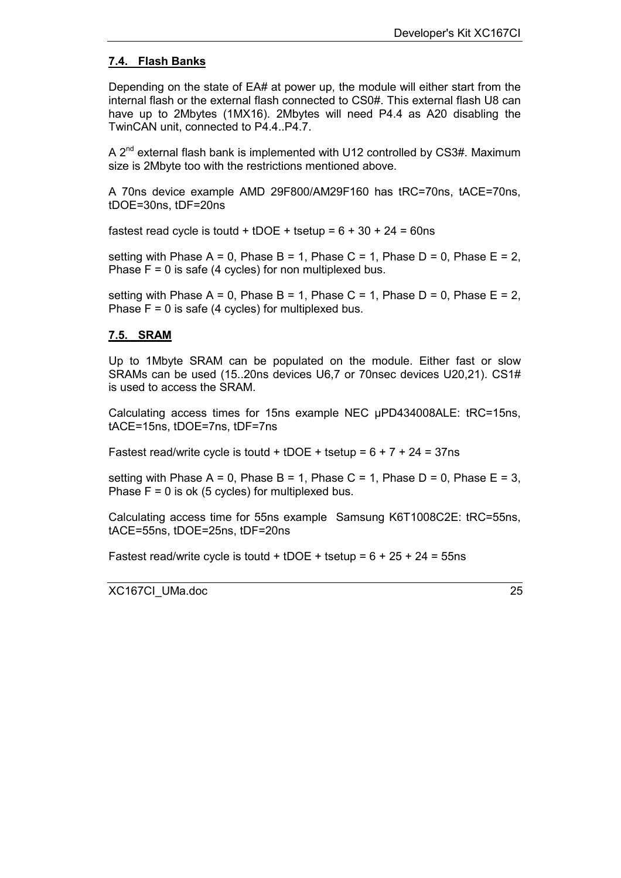#### <span id="page-24-0"></span>**7.4. Flash Banks**

Depending on the state of EA# at power up, the module will either start from the internal flash or the external flash connected to CS0#. This external flash U8 can have up to 2Mbytes (1MX16). 2Mbytes will need P4.4 as A20 disabling the TwinCAN unit, connected to P4.4..P4.7.

A 2<sup>nd</sup> external flash bank is implemented with U12 controlled by CS3#. Maximum size is 2Mbyte too with the restrictions mentioned above.

A 70ns device example AMD 29F800/AM29F160 has tRC=70ns, tACE=70ns, tDOE=30ns, tDF=20ns

fastest read cycle is toutd + tDOE + tsetup =  $6 + 30 + 24 = 60$ ns

setting with Phase A = 0, Phase B = 1, Phase C = 1, Phase D = 0, Phase E = 2, Phase  $F = 0$  is safe (4 cycles) for non multiplexed bus.

setting with Phase A = 0, Phase B = 1, Phase C = 1, Phase D = 0, Phase E = 2, Phase  $F = 0$  is safe (4 cycles) for multiplexed bus.

#### **7.5. SRAM**

Up to 1Mbyte SRAM can be populated on the module. Either fast or slow SRAMs can be used (15..20ns devices U6,7 or 70nsec devices U20,21). CS1# is used to access the SRAM.

Calculating access times for 15ns example NEC µPD434008ALE: tRC=15ns, tACE=15ns, tDOE=7ns, tDF=7ns

Fastest read/write cycle is toutd + tDOE + tsetup =  $6 + 7 + 24 = 37$ ns

setting with Phase A = 0, Phase B = 1, Phase C = 1, Phase D = 0, Phase E = 3, Phase  $F = 0$  is ok (5 cycles) for multiplexed bus.

Calculating access time for 55ns example Samsung K6T1008C2E: tRC=55ns, tACE=55ns, tDOE=25ns, tDF=20ns

Fastest read/write cycle is toutd + tDOE + tsetup =  $6 + 25 + 24 = 55$ ns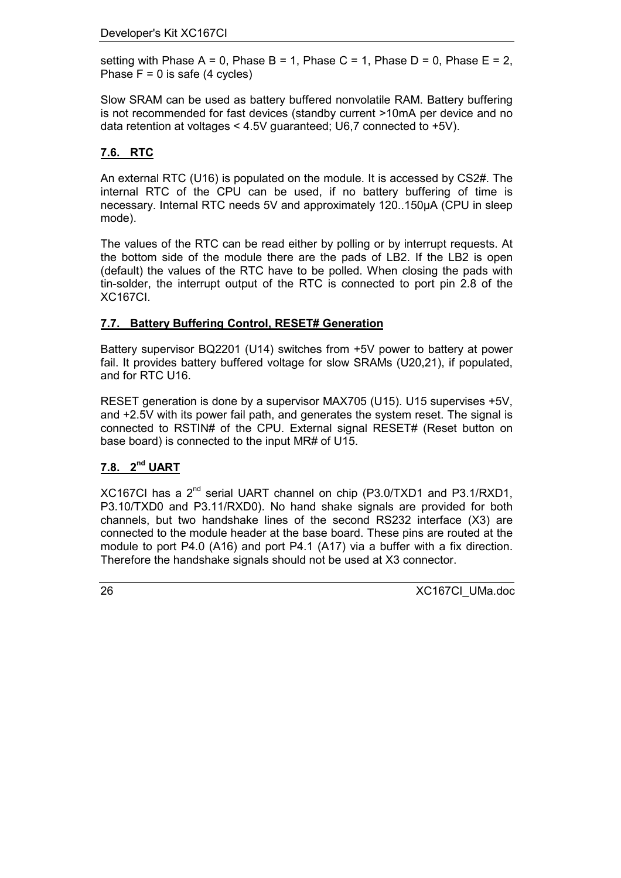<span id="page-25-0"></span>setting with Phase A = 0, Phase B = 1, Phase C = 1, Phase D = 0, Phase E = 2, Phase  $F = 0$  is safe (4 cycles)

Slow SRAM can be used as battery buffered nonvolatile RAM. Battery buffering is not recommended for fast devices (standby current >10mA per device and no data retention at voltages < 4.5V guaranteed; U6,7 connected to +5V).

### **7.6. RTC**

An external RTC (U16) is populated on the module. It is accessed by CS2#. The internal RTC of the CPU can be used, if no battery buffering of time is necessary. Internal RTC needs 5V and approximately 120..150µA (CPU in sleep mode).

The values of the RTC can be read either by polling or by interrupt requests. At the bottom side of the module there are the pads of LB2. If the LB2 is open (default) the values of the RTC have to be polled. When closing the pads with tin-solder, the interrupt output of the RTC is connected to port pin 2.8 of the XC167CI.

#### **7.7. Battery Buffering Control, RESET# Generation**

Battery supervisor BQ2201 (U14) switches from +5V power to battery at power fail. It provides battery buffered voltage for slow SRAMs (U20,21), if populated, and for RTC U16.

RESET generation is done by a supervisor MAX705 (U15). U15 supervises +5V, and +2.5V with its power fail path, and generates the system reset. The signal is connected to RSTIN# of the CPU. External signal RESET# (Reset button on base board) is connected to the input MR# of U15.

#### **7.8. 2nd UART**

XC167CI has a 2nd serial UART channel on chip (P3.0/TXD1 and P3.1/RXD1, P3.10/TXD0 and P3.11/RXD0). No hand shake signals are provided for both channels, but two handshake lines of the second RS232 interface (X3) are connected to the module header at the base board. These pins are routed at the module to port P4.0 (A16) and port P4.1 (A17) via a buffer with a fix direction. Therefore the handshake signals should not be used at X3 connector.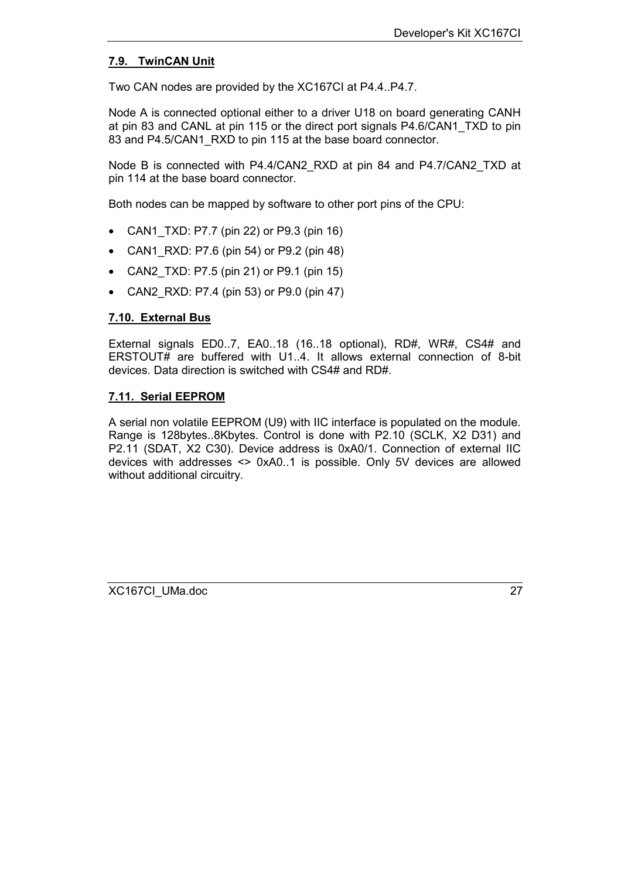#### <span id="page-26-0"></span>**7.9. TwinCAN Unit**

Two CAN nodes are provided by the XC167CI at P4.4..P4.7.

Node A is connected optional either to a driver U18 on board generating CANH at pin 83 and CANL at pin 115 or the direct port signals P4.6/CAN1\_TXD to pin 83 and P4.5/CAN1\_RXD to pin 115 at the base board connector.

Node B is connected with P4.4/CAN2\_RXD at pin 84 and P4.7/CAN2\_TXD at pin 114 at the base board connector.

Both nodes can be mapped by software to other port pins of the CPU:

- CAN1\_TXD: P7.7 (pin 22) or P9.3 (pin 16)
- CAN1 RXD: P7.6 (pin 54) or P9.2 (pin 48)
- CAN2\_TXD: P7.5 (pin 21) or P9.1 (pin 15)
- CAN2 RXD: P7.4 (pin 53) or P9.0 (pin 47)

#### **7.10. External Bus**

External signals ED0..7, EA0..18 (16..18 optional), RD#, WR#, CS4# and ERSTOUT# are buffered with U1..4. It allows external connection of 8-bit devices. Data direction is switched with CS4# and RD#.

#### **7.11. Serial EEPROM**

A serial non volatile EEPROM (U9) with IIC interface is populated on the module. Range is 128bytes..8Kbytes. Control is done with P2.10 (SCLK, X2 D31) and P2.11 (SDAT, X2 C30). Device address is 0xA0/1. Connection of external IIC devices with addresses <> 0xA0..1 is possible. Only 5V devices are allowed without additional circuitry.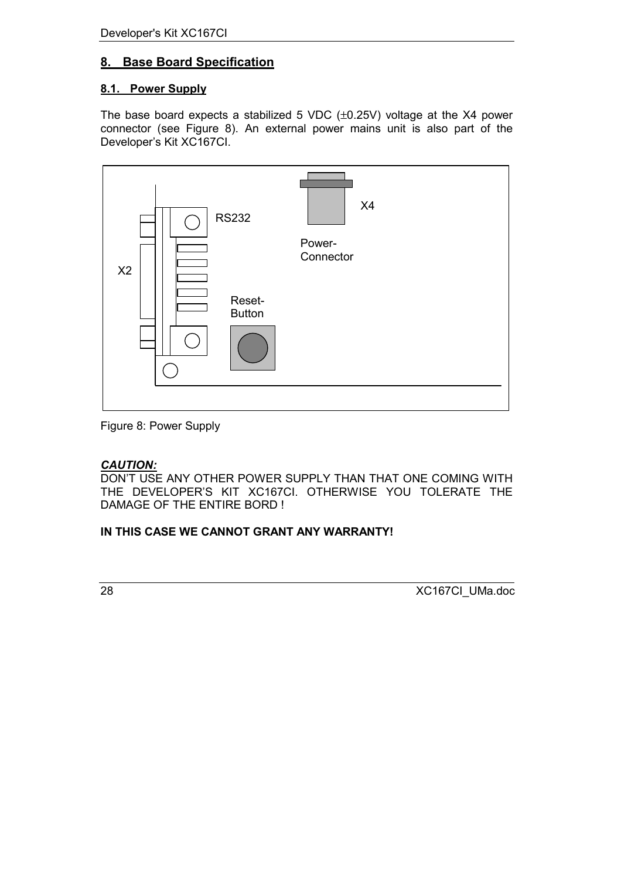### <span id="page-27-0"></span>**8. Base Board Specification**

#### **8.1. Power Supply**

The base board expects a stabilized 5 VDC (±0.25V) voltage at the X4 power connector (see Figure 8). An external power mains unit is also part of the Developer's Kit XC167CI.



Figure 8: Power Supply

#### *CAUTION:*

DON'T USE ANY OTHER POWER SUPPLY THAN THAT ONE COMING WITH THE DEVELOPER'S KIT XC167CI. OTHERWISE YOU TOLERATE THE DAMAGE OF THE ENTIRE BORD !

#### **IN THIS CASE WE CANNOT GRANT ANY WARRANTY!**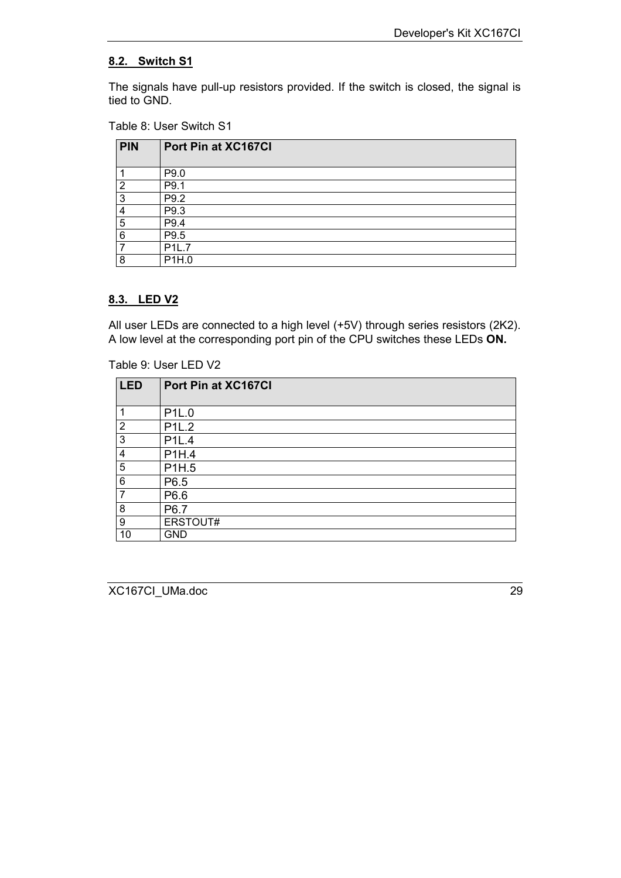#### <span id="page-28-0"></span>**8.2. Switch S1**

The signals have pull-up resistors provided. If the switch is closed, the signal is tied to GND.

#### Table 8: User Switch S1

| <b>PIN</b> | Port Pin at XC167Cl |
|------------|---------------------|
|            | P9.0                |
| റ          | P9.1                |
| 3          | P9.2                |
| 4          | P9.3                |
| 5          | P9.4                |
| 6          | P9.5                |
|            | P1L.7               |
| 8          | P1H.0               |

#### **8.3. LED V2**

All user LEDs are connected to a high level (+5V) through series resistors (2K2). A low level at the corresponding port pin of the CPU switches these LEDs **ON.**

Table 9: User LED V2

| <b>LED</b> | Port Pin at XC167Cl |
|------------|---------------------|
| 1          | P1L.0               |
| 2          | P <sub>1</sub> L.2  |
| 3          | <b>P1L.4</b>        |
| 4          | P1H.4               |
| 5          | P1H.5               |
| 6          | P6.5                |
| 7          | P6.6                |
| 8          | P6.7                |
| 9          | ERSTOUT#            |
| 10         | <b>GND</b>          |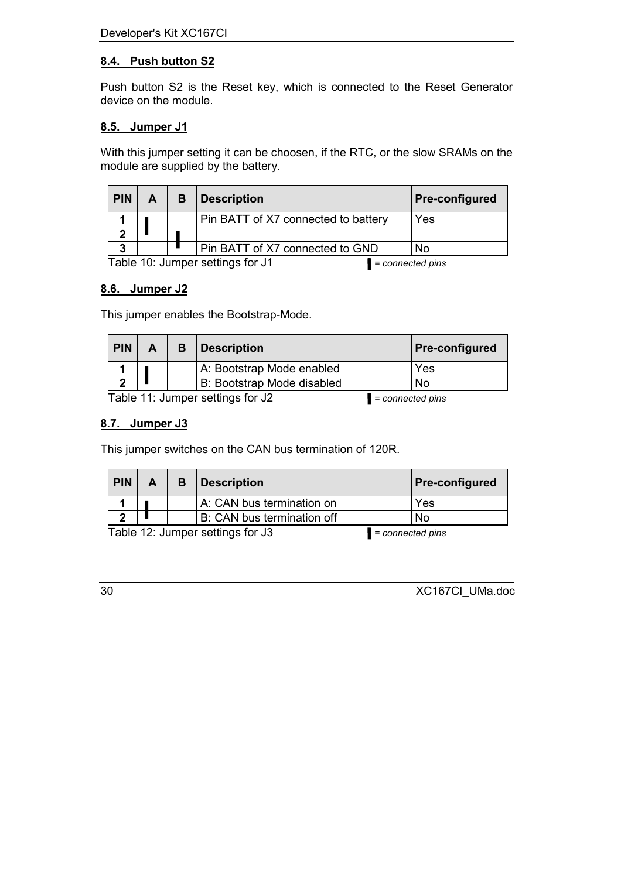### <span id="page-29-0"></span>**8.4. Push button S2**

Push button S2 is the Reset key, which is connected to the Reset Generator device on the module.

#### **8.5. Jumper J1**

With this jumper setting it can be choosen, if the RTC, or the slow SRAMs on the module are supplied by the battery.

| <b>PIN</b>                                             | A                                   |  | <b>Description</b>              | <b>Pre-configured</b> |
|--------------------------------------------------------|-------------------------------------|--|---------------------------------|-----------------------|
|                                                        | Pin BATT of X7 connected to battery |  | Yes                             |                       |
|                                                        |                                     |  |                                 |                       |
| 2                                                      |                                     |  | Pin BATT of X7 connected to GND | <b>No</b>             |
| Table 10: Jumper settings for J1<br>$= connected pins$ |                                     |  |                                 |                       |

#### **8.6. Jumper J2**

This jumper enables the Bootstrap-Mode.

| <b>PIN</b> | А | <i>Description</i>         | <b>Pre-configured</b> |
|------------|---|----------------------------|-----------------------|
|            |   | A: Bootstrap Mode enabled  | Yes                   |
|            |   | B: Bootstrap Mode disabled | No                    |

Table 11: Jumper settings for J2 *= connected pins*

#### **8.7. Jumper J3**

This jumper switches on the CAN bus termination of 120R.

| <b>PIN</b>                                             | A | в                                | Description               | <b>Pre-configured</b> |     |
|--------------------------------------------------------|---|----------------------------------|---------------------------|-----------------------|-----|
|                                                        |   |                                  | A: CAN bus termination on |                       | Yes |
|                                                        |   | B: CAN bus termination off<br>No |                           |                       |     |
| Table 12: Jumper settings for J3<br>$= connected pins$ |   |                                  |                           |                       |     |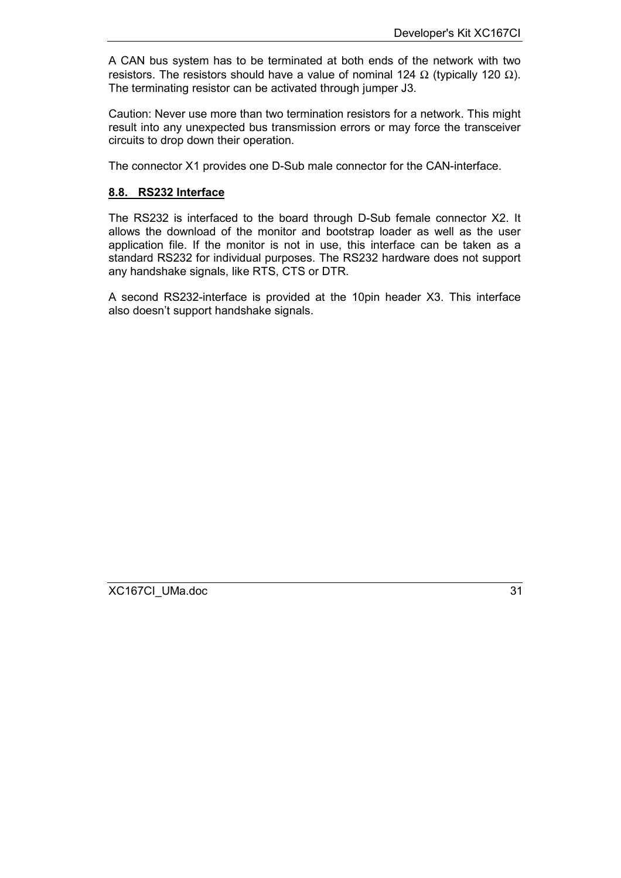<span id="page-30-0"></span>A CAN bus system has to be terminated at both ends of the network with two resistors. The resistors should have a value of nominal 124 Ω (typically 120 Ω). The terminating resistor can be activated through jumper J3.

Caution: Never use more than two termination resistors for a network. This might result into any unexpected bus transmission errors or may force the transceiver circuits to drop down their operation.

The connector X1 provides one D-Sub male connector for the CAN-interface.

#### **8.8. RS232 Interface**

The RS232 is interfaced to the board through D-Sub female connector X2. It allows the download of the monitor and bootstrap loader as well as the user application file. If the monitor is not in use, this interface can be taken as a standard RS232 for individual purposes. The RS232 hardware does not support any handshake signals, like RTS, CTS or DTR.

A second RS232-interface is provided at the 10pin header X3. This interface also doesn't support handshake signals.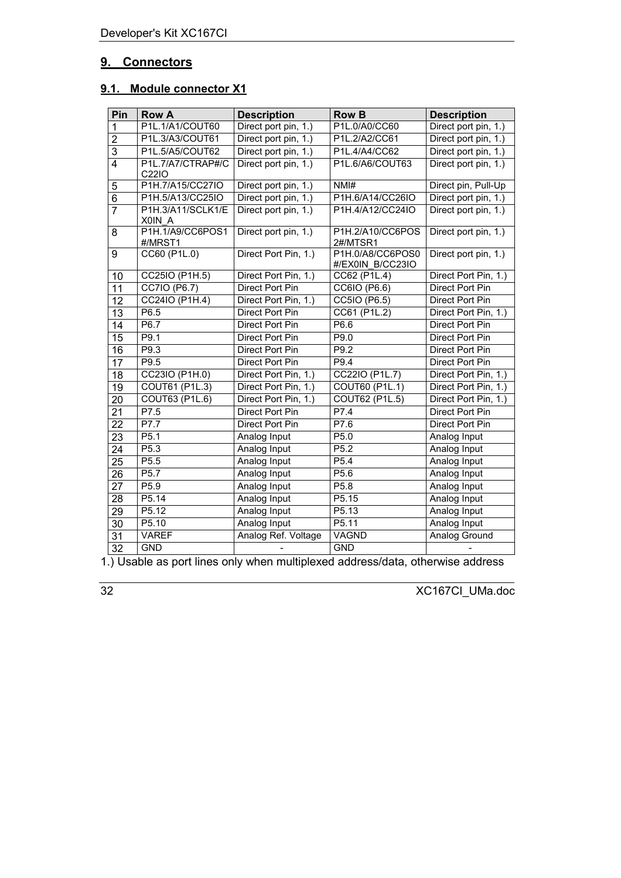### <span id="page-31-0"></span>**9. Connectors**

### **9.1. Module connector X1**

| Pin             | <b>Row A</b>                | <b>Description</b>   | <b>Row B</b>                         | <b>Description</b>   |
|-----------------|-----------------------------|----------------------|--------------------------------------|----------------------|
| 1               | P1L.1/A1/COUT60             | Direct port pin, 1.) | P1L.0/A0/CC60                        | Direct port pin, 1.) |
| $\overline{2}$  | P1L.3/A3/COUT61             | Direct port pin, 1.) | P1L.2/A2/CC61                        | Direct port pin, 1.) |
| $\overline{3}$  | P1L.5/A5/COUT62             | Direct port pin, 1.) | P1L.4/A4/CC62                        | Direct port pin, 1.) |
| 4               | P1L.7/A7/CTRAP#/C<br>C22IO  | Direct port pin, 1.) | P1L.6/A6/COUT63                      | Direct port pin, 1.) |
| 5               | P1H.7/A15/CC27IO            | Direct port pin, 1.) | NMH                                  | Direct pin, Pull-Up  |
| $\overline{6}$  | P1H.5/A13/CC25IO            | Direct port pin, 1.) | P1H.6/A14/CC26IO                     | Direct port pin, 1.) |
| $\overline{7}$  | P1H.3/A11/SCLK1/E<br>X0IN A | Direct port pin, 1.) | P1H.4/A12/CC24IO                     | Direct port pin, 1.) |
| 8               | P1H.1/A9/CC6POS1<br>#/MRST1 | Direct port pin, 1.) | P1H.2/A10/CC6POS<br>2#/MTSR1         | Direct port pin, 1.) |
| 9               | CC60 (P1L.0)                | Direct Port Pin, 1.) | P1H.0/A8/CC6POS0<br>#/EX0IN B/CC23IO | Direct port pin, 1.) |
| 10              | CC25IO (P1H.5)              | Direct Port Pin, 1.) | CC62 (P1L.4)                         | Direct Port Pin, 1.) |
| 11              | CC7IO (P6.7)                | Direct Port Pin      | CC6IO (P6.6)                         | Direct Port Pin      |
| 12              | CC24IO (P1H.4)              | Direct Port Pin, 1.) | CC5IO (P6.5)                         | Direct Port Pin      |
| $\overline{13}$ | P6.5                        | Direct Port Pin      | CC61 (P1L.2)                         | Direct Port Pin, 1.) |
| 14              | P6.7                        | Direct Port Pin      | P6.6                                 | Direct Port Pin      |
| 15              | P9.1                        | Direct Port Pin      | P9.0                                 | Direct Port Pin      |
| 16              | P9.3                        | Direct Port Pin      | P9.2                                 | Direct Port Pin      |
| 17              | P9.5                        | Direct Port Pin      | P9.4                                 | Direct Port Pin      |
| $\overline{18}$ | CC23IO (P1H.0)              | Direct Port Pin, 1.) | CC22IO (P1L.7)                       | Direct Port Pin, 1.) |
| $\overline{19}$ | COUT61 (P1L.3)              | Direct Port Pin, 1.) | <b>COUT60 (P1L.1)</b>                | Direct Port Pin, 1.) |
| 20              | <b>COUT63 (P1L.6)</b>       | Direct Port Pin, 1.) | <b>COUT62 (P1L.5)</b>                | Direct Port Pin, 1.) |
| 21              | P7.5                        | Direct Port Pin      | P7.4                                 | Direct Port Pin      |
| 22              | P7.7                        | Direct Port Pin      | P7.6                                 | Direct Port Pin      |
| 23              | P <sub>5.1</sub>            | Analog Input         | P <sub>5.0</sub>                     | Analog Input         |
| 24              | P5.3                        | Analog Input         | P <sub>5.2</sub>                     | Analog Input         |
| 25              | P5.5                        | Analog Input         | P5.4                                 | Analog Input         |
| 26              | P5.7                        | Analog Input         | P5.6                                 | Analog Input         |
| 27              | P5.9                        | Analog Input         | P5.8                                 | Analog Input         |
| 28              | P5.14                       | Analog Input         | P5.15                                | Analog Input         |
| 29              | P5.12                       | Analog Input         | P5.13                                | Analog Input         |
| 30              | P5.10                       | Analog Input         | P <sub>5.11</sub>                    | Analog Input         |
| 31              | <b>VAREF</b>                | Analog Ref. Voltage  | <b>VAGND</b>                         | <b>Analog Ground</b> |
| 32              | <b>GND</b>                  |                      | <b>GND</b>                           |                      |

1.) Usable as port lines only when multiplexed address/data, otherwise address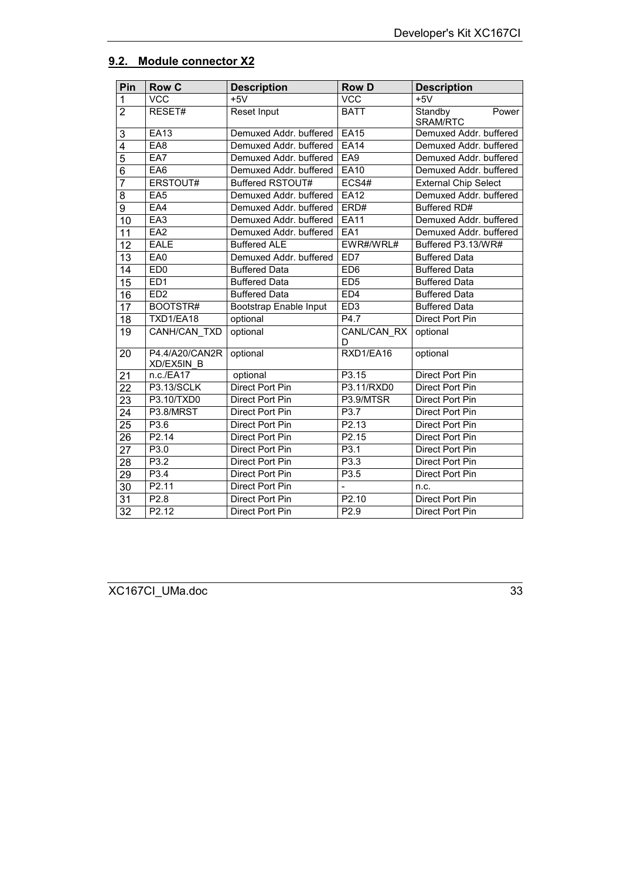#### <span id="page-32-0"></span>**9.2. Module connector X2**

| Pin             | <b>Row C</b>                 | <b>Description</b>     | <b>Row D</b>            | <b>Description</b>           |
|-----------------|------------------------------|------------------------|-------------------------|------------------------------|
| $\mathbf{1}$    | <b>VCC</b>                   | $+5V$                  | <b>VCC</b>              | $+5V$                        |
| $\overline{2}$  | RESET#                       | Reset Input            | <b>BATT</b>             | Standby<br>Power<br>SRAM/RTC |
| 3               | <b>EA13</b>                  | Demuxed Addr. buffered | <b>EA15</b>             | Demuxed Addr. buffered       |
| 4               | EAB                          | Demuxed Addr. buffered | E <sub>A14</sub>        | Demuxed Addr. buffered       |
| $\overline{5}$  | EA7                          | Demuxed Addr. buffered | EA9                     | Demuxed Addr. buffered       |
| $\overline{6}$  | EA <sub>6</sub>              | Demuxed Addr. buffered | <b>EA10</b>             | Demuxed Addr. buffered       |
| 7               | ERSTOUT#                     | Buffered RSTOUT#       | ECS4#                   | <b>External Chip Select</b>  |
| 8               | EAS                          | Demuxed Addr. buffered | <b>EA12</b>             | Demuxed Addr. buffered       |
| $\overline{9}$  | EAA                          | Demuxed Addr. buffered | ERD#                    | <b>Buffered RD#</b>          |
| 10              | EA <sub>3</sub>              | Demuxed Addr. buffered | <b>EA11</b>             | Demuxed Addr. buffered       |
| 11              | EA <sub>2</sub>              | Demuxed Addr. buffered | EA1                     | Demuxed Addr. buffered       |
| 12              | <b>EALE</b>                  | <b>Buffered ALE</b>    | EWR#/WRL#               | Buffered P3.13/WR#           |
| 13              | EA0                          | Demuxed Addr. buffered | ED <sub>7</sub>         | <b>Buffered Data</b>         |
| 14              | ED <sub>0</sub>              | <b>Buffered Data</b>   | E <sub>D6</sub>         | <b>Buffered Data</b>         |
| $\overline{15}$ | ED <sub>1</sub>              | <b>Buffered Data</b>   | ED5                     | <b>Buffered Data</b>         |
| 16              | ED <sub>2</sub>              | <b>Buffered Data</b>   | ED <sub>4</sub>         | <b>Buffered Data</b>         |
| 17              | BOOTSTR#                     | Bootstrap Enable Input | ED3                     | <b>Buffered Data</b>         |
| 18              | TXD1/EA18                    | optional               | P4.7                    | <b>Direct Port Pin</b>       |
| 19              | CANH/CAN TXD                 | optional               | <b>CANL/CAN RX</b><br>D | optional                     |
| 20              | P4.4/A20/CAN2R<br>XD/EX5IN B | optional               | RXD1/EA16               | optional                     |
| 21              | n.c./EA17                    | optional               | P3.15                   | <b>Direct Port Pin</b>       |
| $\overline{22}$ | <b>P3.13/SCLK</b>            | <b>Direct Port Pin</b> | P3.11/RXD0              | <b>Direct Port Pin</b>       |
| $\overline{23}$ | P3.10/TXD0                   | <b>Direct Port Pin</b> | P3.9/MTSR               | <b>Direct Port Pin</b>       |
| 24              | P3.8/MRST                    | Direct Port Pin        | P3.7                    | Direct Port Pin              |
| $\overline{25}$ | P3.6                         | <b>Direct Port Pin</b> | P2.13                   | <b>Direct Port Pin</b>       |
| 26              | P2.14                        | Direct Port Pin        | P2.15                   | Direct Port Pin              |
| 27              | P3.0                         | Direct Port Pin        | P3.1                    | Direct Port Pin              |
| 28              | P3.2                         | Direct Port Pin        | P3.3                    | Direct Port Pin              |
| 29              | P3.4                         | <b>Direct Port Pin</b> | P3.5                    | <b>Direct Port Pin</b>       |
| 30              | P2.11                        | Direct Port Pin        |                         | n.c.                         |
| $\overline{31}$ | P2.8                         | <b>Direct Port Pin</b> | P2.10                   | <b>Direct Port Pin</b>       |
| $\overline{32}$ | P2.12                        | Direct Port Pin        | P2.9                    | Direct Port Pin              |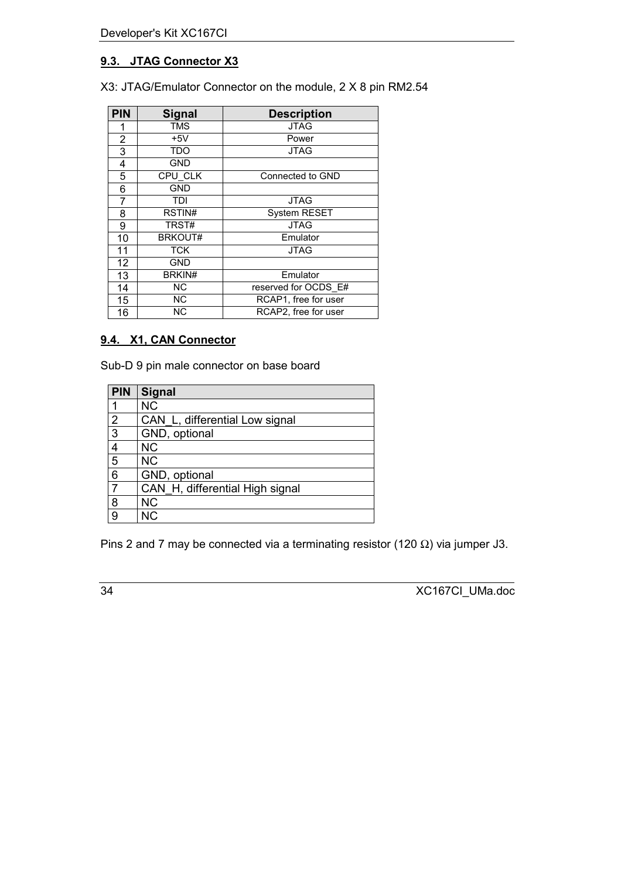### <span id="page-33-0"></span>**9.3. JTAG Connector X3**

X3: JTAG/Emulator Connector on the module, 2 X 8 pin RM2.54

| <b>PIN</b> | <b>Signal</b>  | <b>Description</b>   |  |
|------------|----------------|----------------------|--|
| 1          | <b>TMS</b>     | <b>JTAG</b>          |  |
| 2          | $+5V$          | Power                |  |
| 3          | <b>TDO</b>     | <b>JTAG</b>          |  |
| 4          | <b>GND</b>     |                      |  |
| 5          | <b>CPU CLK</b> | Connected to GND     |  |
| 6          | <b>GND</b>     |                      |  |
| 7          | TDI            | <b>JTAG</b>          |  |
| 8          | RSTIN#         | <b>System RESET</b>  |  |
| 9          | TRST#          | <b>JTAG</b>          |  |
| 10         | <b>BRKOUT#</b> | Emulator             |  |
| 11         | <b>TCK</b>     | <b>JTAG</b>          |  |
| 12         | <b>GND</b>     |                      |  |
| 13         | BRKIN#         | Emulator             |  |
| 14         | <b>NC</b>      | reserved for OCDS E# |  |
| 15         | <b>NC</b>      | RCAP1, free for user |  |
| 16         | <b>NC</b>      | RCAP2, free for user |  |

### **9.4. X1, CAN Connector**

Sub-D 9 pin male connector on base board

| <b>PIN</b>     | <b>Signal</b>                   |
|----------------|---------------------------------|
|                | <b>NC</b>                       |
| $\overline{2}$ | CAN_L, differential Low signal  |
| $\overline{3}$ | GND, optional                   |
| 4              | <b>NC</b>                       |
| 5              | <b>NC</b>                       |
| 6              | GND, optional                   |
|                | CAN H, differential High signal |
| 8              | <b>NC</b>                       |
| 9              | <b>NC</b>                       |

Pins 2 and 7 may be connected via a terminating resistor (120  $\Omega$ ) via jumper J3.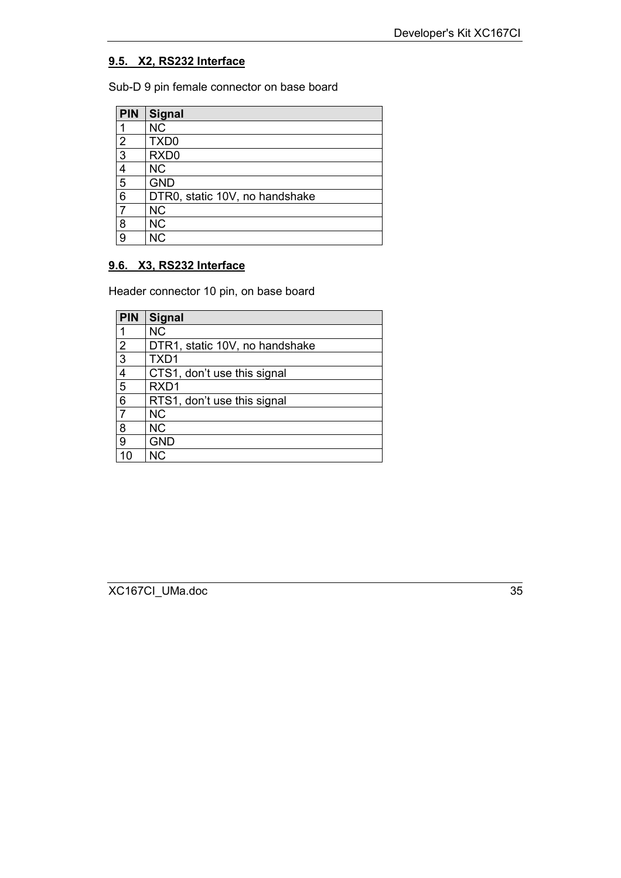#### <span id="page-34-0"></span>**9.5. X2, RS232 Interface**

Sub-D 9 pin female connector on base board

| <b>PIN</b>     | Signal                         |
|----------------|--------------------------------|
| ◀              | <b>NC</b>                      |
| $\overline{2}$ | TXD <sub>0</sub>               |
| $\overline{3}$ | RXD <sub>0</sub>               |
| 4              | <b>NC</b>                      |
| 5              | <b>GND</b>                     |
| 6              | DTR0, static 10V, no handshake |
| 7              | <b>NC</b>                      |
| 8              | <b>NC</b>                      |
| 9              | <b>NC</b>                      |

### **9.6. X3, RS232 Interface**

Header connector 10 pin, on base board

| <b>PIN</b>     | Signal                         |
|----------------|--------------------------------|
| 1              | <b>NC</b>                      |
| $\overline{2}$ | DTR1, static 10V, no handshake |
| $\overline{3}$ | TXD1                           |
| 4              | CTS1, don't use this signal    |
| 5              | RXD <sub>1</sub>               |
| 6              | RTS1, don't use this signal    |
| $\overline{7}$ | <b>NC</b>                      |
| 8              | <b>NC</b>                      |
| 9              | <b>GND</b>                     |
| 10             | ΝC                             |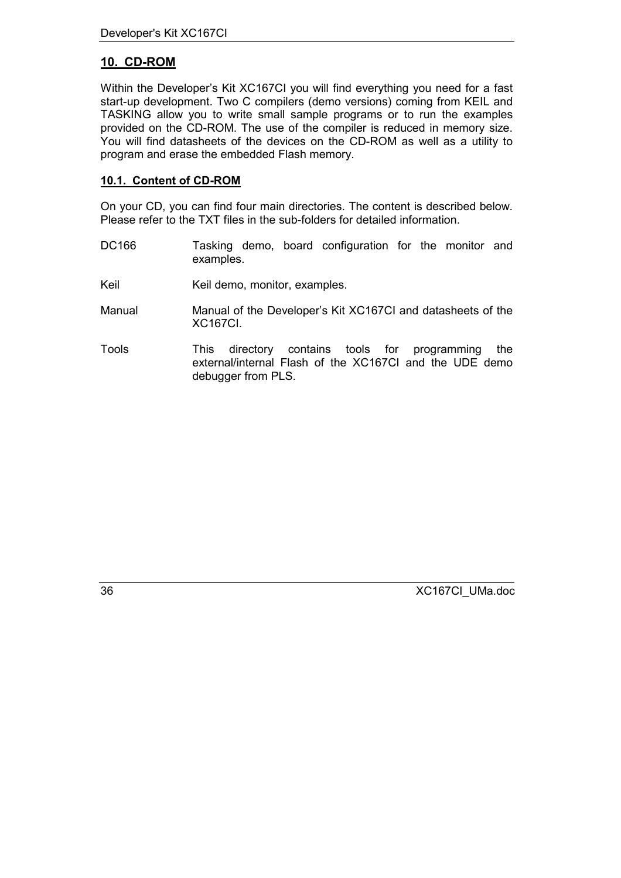### <span id="page-35-0"></span>**10. CD-ROM**

Within the Developer's Kit XC167CI you will find everything you need for a fast start-up development. Two C compilers (demo versions) coming from KEIL and TASKING allow you to write small sample programs or to run the examples provided on the CD-ROM. The use of the compiler is reduced in memory size. You will find datasheets of the devices on the CD-ROM as well as a utility to program and erase the embedded Flash memory.

#### **10.1. Content of CD-ROM**

On your CD, you can find four main directories. The content is described below. Please refer to the TXT files in the sub-folders for detailed information.

- DC166 Tasking demo, board configuration for the monitor and examples.
- Keil Keil demo, monitor, examples.
- Manual Manual of the Developer's Kit XC167CI and datasheets of the XC167CI.
- Tools This directory contains tools for programming the external/internal Flash of the XC167CI and the UDE demo debugger from PLS.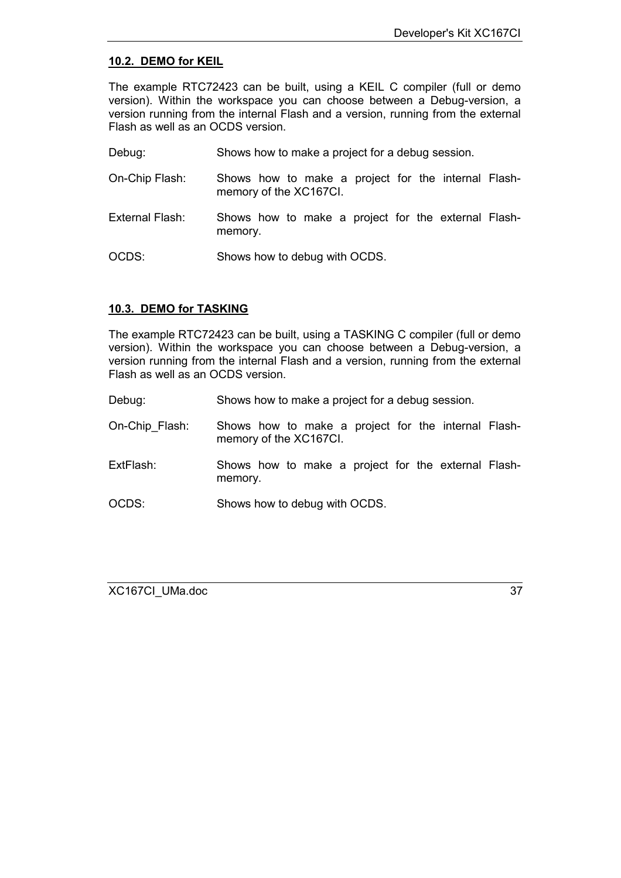#### <span id="page-36-0"></span>**10.2. DEMO for KEIL**

The example RTC72423 can be built, using a KEIL C compiler (full or demo version). Within the workspace you can choose between a Debug-version, a version running from the internal Flash and a version, running from the external Flash as well as an OCDS version.

Debug: Shows how to make a project for a debug session.

- On-Chip Flash: Shows how to make a project for the internal Flashmemory of the XC167CI.
- External Flash: Shows how to make a project for the external Flashmemory.

OCDS: Shows how to debug with OCDS.

#### **10.3. DEMO for TASKING**

The example RTC72423 can be built, using a TASKING C compiler (full or demo version). Within the workspace you can choose between a Debug-version, a version running from the internal Flash and a version, running from the external Flash as well as an OCDS version.

| Debug: | Shows how to make a project for a debug session. |  |
|--------|--------------------------------------------------|--|
|        |                                                  |  |

- On-Chip\_Flash: Shows how to make a project for the internal Flashmemory of the XC167CI.
- ExtFlash: Shows how to make a project for the external Flashmemory.

OCDS: Shows how to debug with OCDS.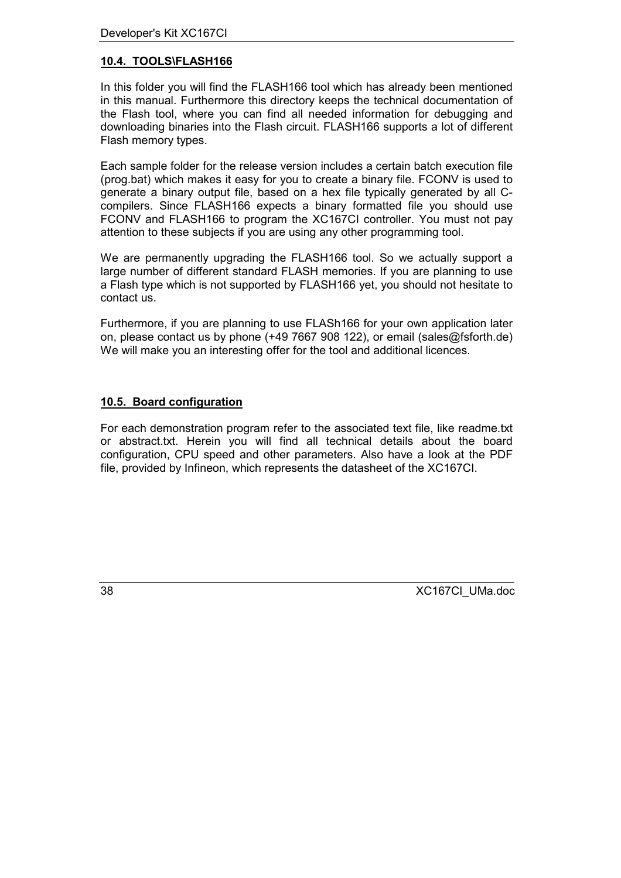### <span id="page-37-0"></span>**10.4. TOOLS\FLASH166**

In this folder you will find the FLASH166 tool which has already been mentioned in this manual. Furthermore this directory keeps the technical documentation of the Flash tool, where you can find all needed information for debugging and downloading binaries into the Flash circuit. FLASH166 supports a lot of different Flash memory types.

Each sample folder for the release version includes a certain batch execution file (prog.bat) which makes it easy for you to create a binary file. FCONV is used to generate a binary output file, based on a hex file typically generated by all Ccompilers. Since FLASH166 expects a binary formatted file you should use FCONV and FLASH166 to program the XC167CI controller. You must not pay attention to these subjects if you are using any other programming tool.

We are permanently upgrading the FLASH166 tool. So we actually support a large number of different standard FLASH memories. If you are planning to use a Flash type which is not supported by FLASH166 yet, you should not hesitate to contact us.

Furthermore, if you are planning to use FLASh166 for your own application later on, please contact us by phone (+49 7667 908 122), or email (sales@fsforth.de) We will make you an interesting offer for the tool and additional licences.

#### **10.5. Board configuration**

For each demonstration program refer to the associated text file, like readme.txt or abstract.txt. Herein you will find all technical details about the board configuration, CPU speed and other parameters. Also have a look at the PDF file, provided by Infineon, which represents the datasheet of the XC167CI.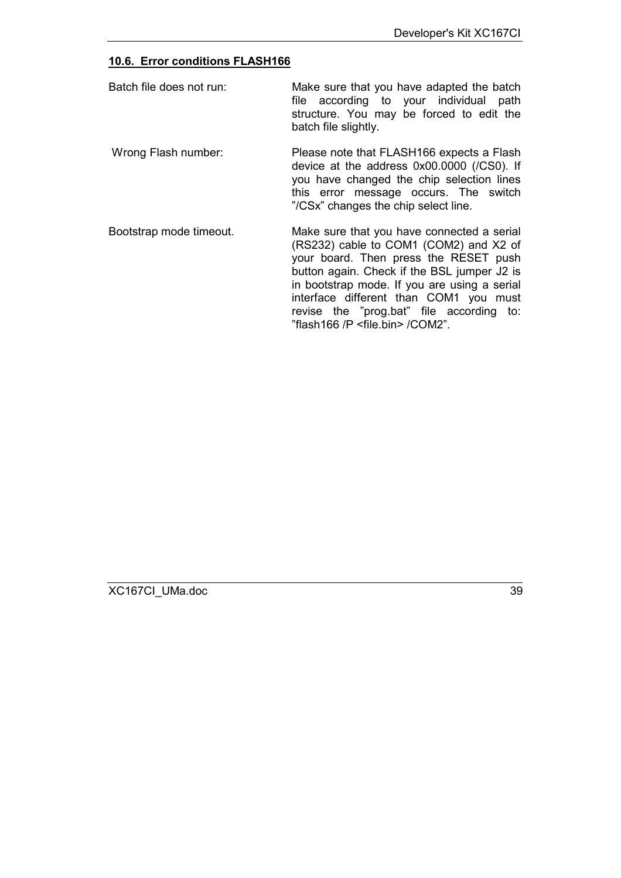#### <span id="page-38-0"></span>**10.6. Error conditions FLASH166**

| Batch file does not run: | Make sure that you have adapted the batch<br>file according to your individual path<br>structure. You may be forced to edit the<br>batch file slightly. |  |
|--------------------------|---------------------------------------------------------------------------------------------------------------------------------------------------------|--|
| Wrong Flash number:      | Please note that FLASH166 expects a Flash<br>device at the address 0x00,000, (ICSO) If                                                                  |  |

device at the address 0x00.0000 (/CS0). If you have changed the chip selection lines this error message occurs. The switch "/CSx" changes the chip select line.

Bootstrap mode timeout. Make sure that you have connected a serial (RS232) cable to COM1 (COM2) and X2 of your board. Then press the RESET push button again. Check if the BSL jumper J2 is in bootstrap mode. If you are using a serial interface different than COM1 you must revise the "prog.bat" file according to: "flash166 /P <file.bin> /COM2".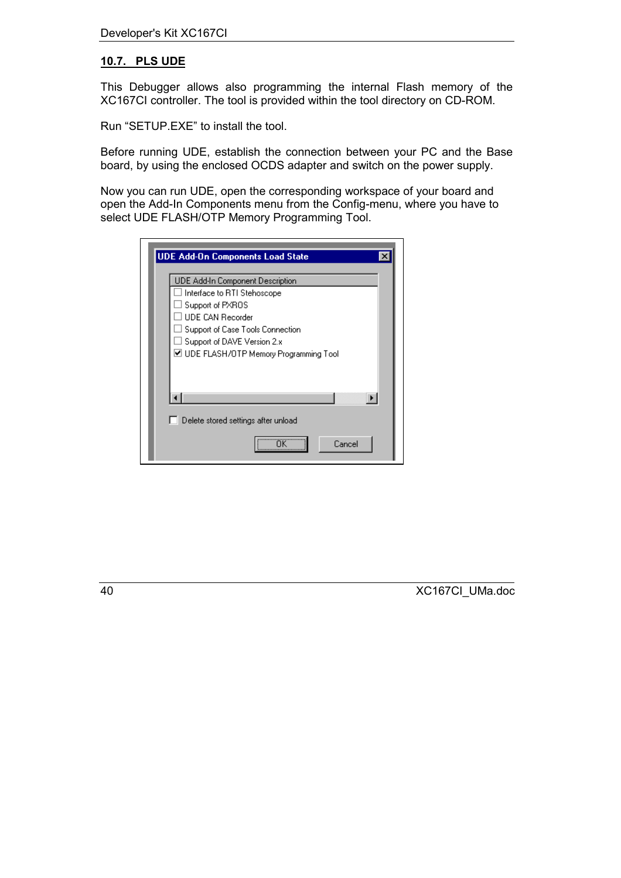#### <span id="page-39-0"></span>**10.7. PLS UDE**

This Debugger allows also programming the internal Flash memory of the XC167CI controller. The tool is provided within the tool directory on CD-ROM.

Run "SETUP.EXE" to install the tool.

Before running UDE, establish the connection between your PC and the Base board, by using the enclosed OCDS adapter and switch on the power supply.

Now you can run UDE, open the corresponding workspace of your board and open the Add-In Components menu from the Config-menu, where you have to select UDE FLASH/OTP Memory Programming Tool.

| <b>UDE Add-On Components Load State</b>     |  |  |
|---------------------------------------------|--|--|
| UDE Add-In Component Description            |  |  |
| Interface to RTI Stehoscope                 |  |  |
| Support of PXROS<br><b>UDE CAN Recorder</b> |  |  |
| Support of Case Tools Connection            |  |  |
| Support of DAVE Version 2.x                 |  |  |
| ☑ UDE FLASH/OTP Memory Programming Tool     |  |  |
|                                             |  |  |
|                                             |  |  |
|                                             |  |  |
| Delete stored settings after unload         |  |  |
| Cancel                                      |  |  |
|                                             |  |  |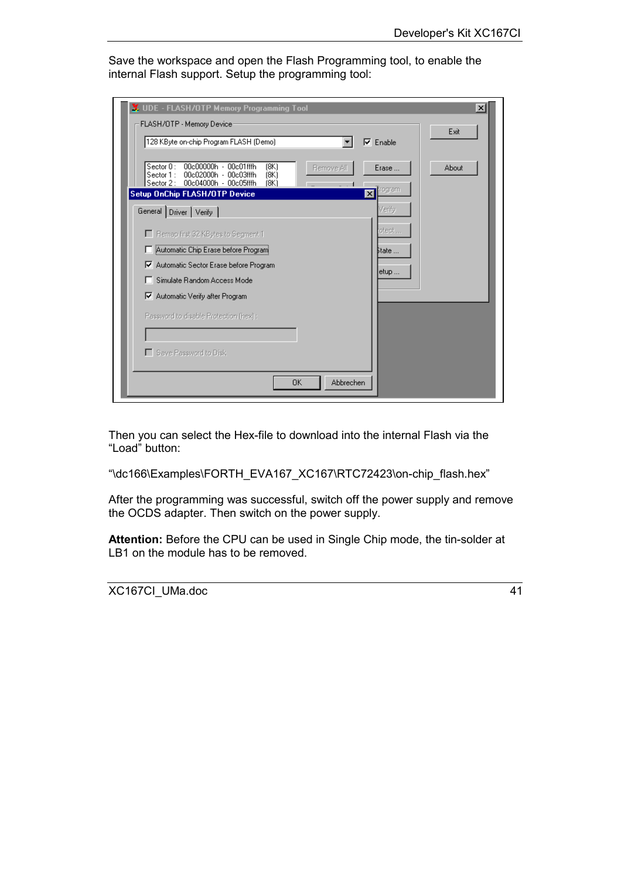Save the workspace and open the Flash Programming tool, to enable the internal Flash support. Setup the programming tool:

| X UDE - FLASH/OTP Memory Programming Tool<br>FLASH/OTP - Memory Device                                                                                                                                                 | $\boldsymbol{\mathsf{x}}$ |
|------------------------------------------------------------------------------------------------------------------------------------------------------------------------------------------------------------------------|---------------------------|
| 128 KByte on-chip Program FLASH (Demo)<br>⊽<br>Enable                                                                                                                                                                  | Exit                      |
| 00c00000h - 00c01fffh<br>Section 0:<br>(8K)<br>Remove All<br>Erase<br>00c02000h - 00c03fffh<br>Sector 1:<br>18K)<br>00c04000h - 00c05fffh<br>Sector 2:<br>18K)<br>Program<br><b>Setup OnChip FLASH/OTP Device</b><br>× | About                     |
| Verify<br>General Driver Verify                                                                                                                                                                                        |                           |
| otect<br>Remap first 32 KBytes to Segment 1                                                                                                                                                                            |                           |
| Automatic Chip Erase before Program<br>State                                                                                                                                                                           |                           |
| Ⅳ Automatic Sector Erase before Program<br>etup                                                                                                                                                                        |                           |
| Simulate Random Access Mode                                                                                                                                                                                            |                           |
| Ⅳ Automatic Verify after Program                                                                                                                                                                                       |                           |
| Password to disable Protection (hex):                                                                                                                                                                                  |                           |
| □ Save Password to Disk                                                                                                                                                                                                |                           |
| Abbrechen<br>0K                                                                                                                                                                                                        |                           |

Then you can select the Hex-file to download into the internal Flash via the "Load" button:

"\dc166\Examples\FORTH\_EVA167\_XC167\RTC72423\on-chip\_flash.hex"

After the programming was successful, switch off the power supply and remove the OCDS adapter. Then switch on the power supply.

**Attention:** Before the CPU can be used in Single Chip mode, the tin-solder at LB1 on the module has to be removed.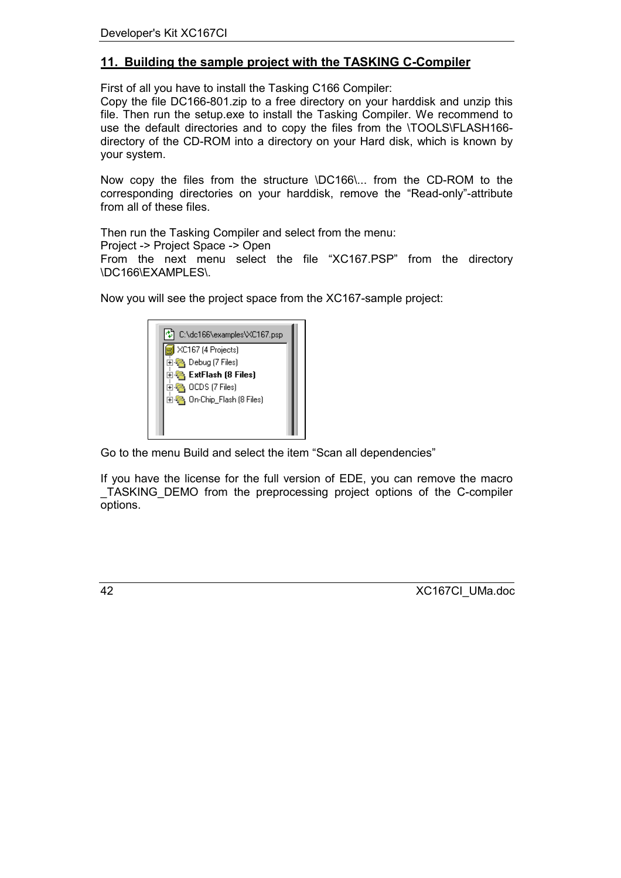### <span id="page-41-0"></span>**11. Building the sample project with the TASKING C-Compiler**

First of all you have to install the Tasking C166 Compiler:

Copy the file DC166-801.zip to a free directory on your harddisk and unzip this file. Then run the setup.exe to install the Tasking Compiler. We recommend to use the default directories and to copy the files from the \TOOLS\FLASH166 directory of the CD-ROM into a directory on your Hard disk, which is known by your system.

Now copy the files from the structure \DC166\... from the CD-ROM to the corresponding directories on your harddisk, remove the "Read-only"-attribute from all of these files.

Then run the Tasking Compiler and select from the menu:

Project -> Project Space -> Open

From the next menu select the file "XC167.PSP" from the directory \DC166\EXAMPLES\.

Now you will see the project space from the XC167-sample project:



Go to the menu Build and select the item "Scan all dependencies"

If you have the license for the full version of EDE, you can remove the macro \_TASKING\_DEMO from the preprocessing project options of the C-compiler options.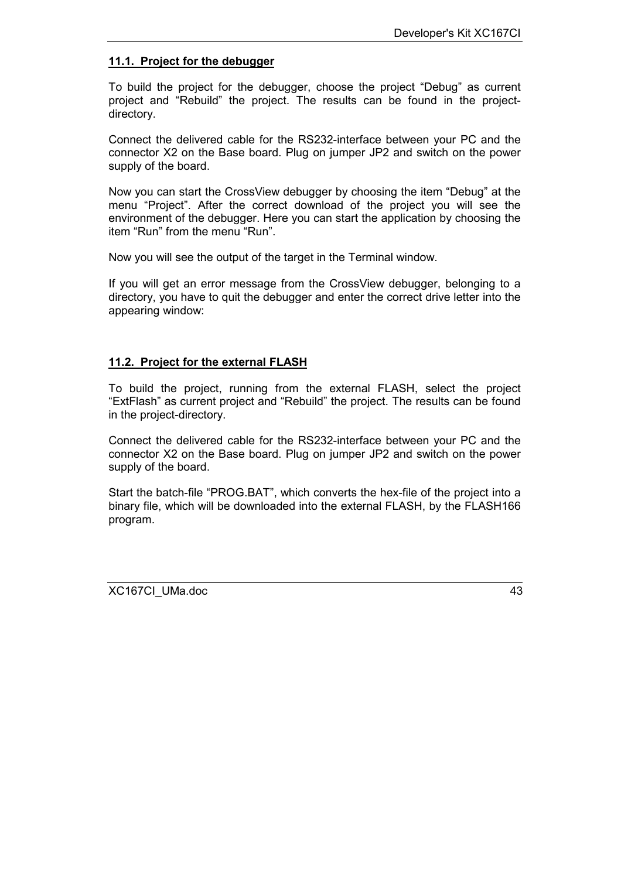#### <span id="page-42-0"></span>**11.1. Project for the debugger**

To build the project for the debugger, choose the project "Debug" as current project and "Rebuild" the project. The results can be found in the projectdirectory.

Connect the delivered cable for the RS232-interface between your PC and the connector X2 on the Base board. Plug on jumper JP2 and switch on the power supply of the board.

Now you can start the CrossView debugger by choosing the item "Debug" at the menu "Project". After the correct download of the project you will see the environment of the debugger. Here you can start the application by choosing the item "Run" from the menu "Run".

Now you will see the output of the target in the Terminal window.

If you will get an error message from the CrossView debugger, belonging to a directory, you have to quit the debugger and enter the correct drive letter into the appearing window:

#### **11.2. Project for the external FLASH**

To build the project, running from the external FLASH, select the project "ExtFlash" as current project and "Rebuild" the project. The results can be found in the project-directory.

Connect the delivered cable for the RS232-interface between your PC and the connector X2 on the Base board. Plug on jumper JP2 and switch on the power supply of the board.

Start the batch-file "PROG.BAT", which converts the hex-file of the project into a binary file, which will be downloaded into the external FLASH, by the FLASH166 program.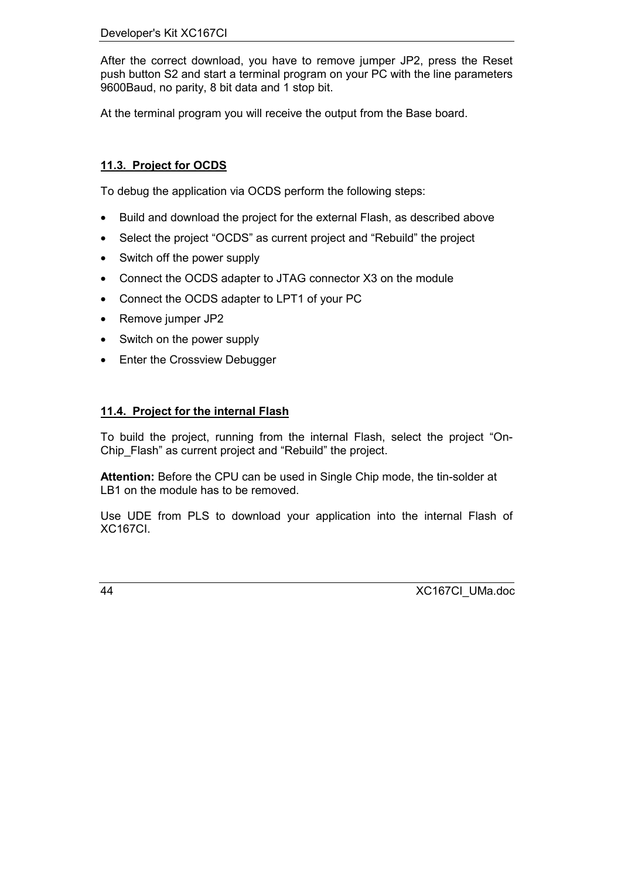#### <span id="page-43-0"></span>Developer's Kit XC167CI

After the correct download, you have to remove jumper JP2, press the Reset push button S2 and start a terminal program on your PC with the line parameters 9600Baud, no parity, 8 bit data and 1 stop bit.

At the terminal program you will receive the output from the Base board.

### **11.3. Project for OCDS**

To debug the application via OCDS perform the following steps:

- Build and download the project for the external Flash, as described above
- Select the project "OCDS" as current project and "Rebuild" the project
- Switch off the power supply
- Connect the OCDS adapter to JTAG connector X3 on the module
- Connect the OCDS adapter to LPT1 of your PC
- Remove jumper JP2
- Switch on the power supply
- Enter the Crossview Debugger

#### **11.4. Project for the internal Flash**

To build the project, running from the internal Flash, select the project "On-Chip\_Flash" as current project and "Rebuild" the project.

**Attention:** Before the CPU can be used in Single Chip mode, the tin-solder at LB1 on the module has to be removed.

Use UDE from PLS to download your application into the internal Flash of XC167CI.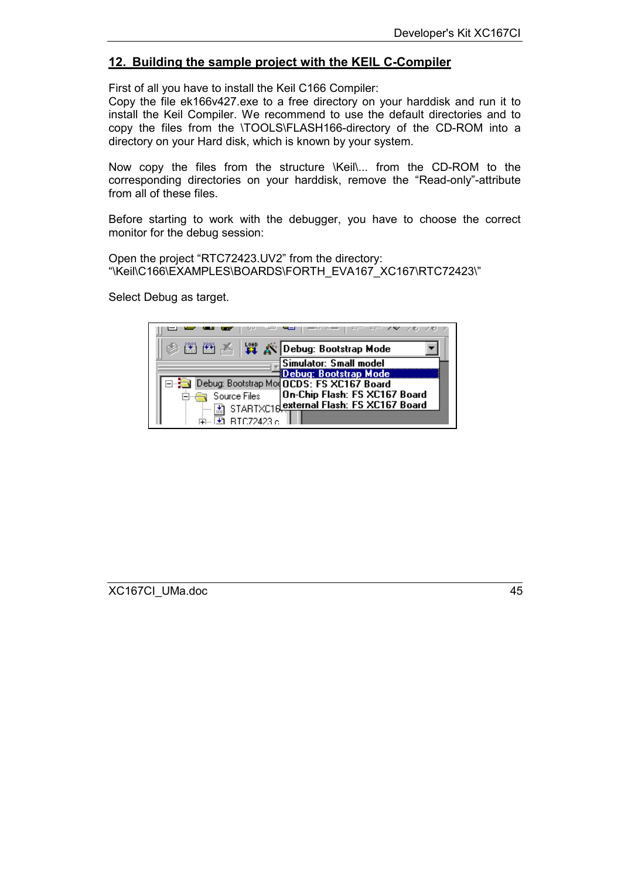### <span id="page-44-0"></span>**12. Building the sample project with the KEIL C-Compiler**

First of all you have to install the Keil C166 Compiler:

Copy the file ek166v427.exe to a free directory on your harddisk and run it to install the Keil Compiler. We recommend to use the default directories and to copy the files from the \TOOLS\FLASH166-directory of the CD-ROM into a directory on your Hard disk, which is known by your system.

Now copy the files from the structure \Keil\... from the CD-ROM to the corresponding directories on your harddisk, remove the "Read-only"-attribute from all of these files.

Before starting to work with the debugger, you have to choose the correct monitor for the debug session:

Open the project "RTC72423.UV2" from the directory: "\Keil\C166\EXAMPLES\BOARDS\FORTH\_EVA167\_XC167\RTC72423\"

Select Debug as target.

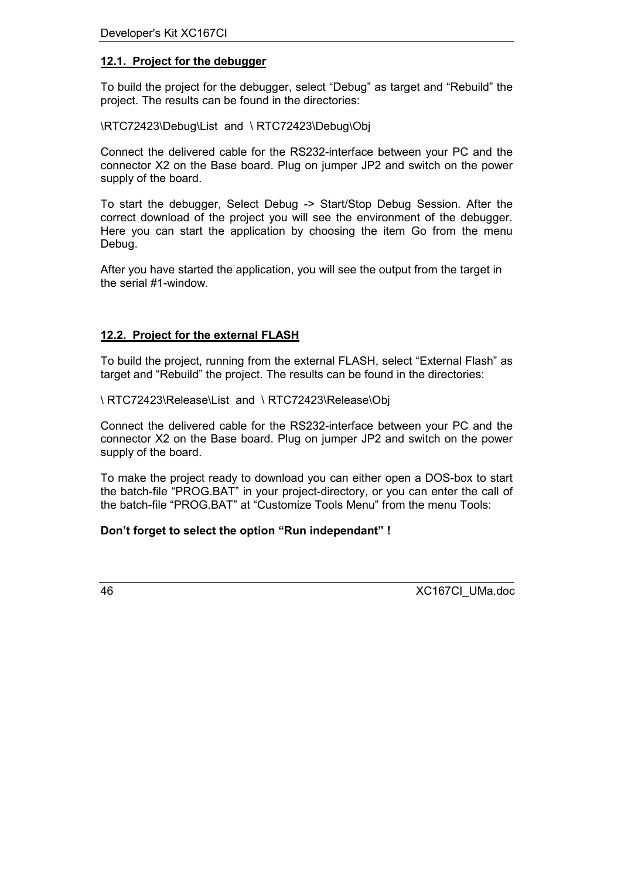#### <span id="page-45-0"></span>**12.1. Project for the debugger**

To build the project for the debugger, select "Debug" as target and "Rebuild" the project. The results can be found in the directories:

\RTC72423\Debug\List and \ RTC72423\Debug\Obj

Connect the delivered cable for the RS232-interface between your PC and the connector X2 on the Base board. Plug on jumper JP2 and switch on the power supply of the board.

To start the debugger, Select Debug -> Start/Stop Debug Session. After the correct download of the project you will see the environment of the debugger. Here you can start the application by choosing the item Go from the menu Debug.

After you have started the application, you will see the output from the target in the serial #1-window.

### **12.2. Project for the external FLASH**

To build the project, running from the external FLASH, select "External Flash" as target and "Rebuild" the project. The results can be found in the directories:

\ RTC72423\Release\List and \ RTC72423\Release\Obj

Connect the delivered cable for the RS232-interface between your PC and the connector X2 on the Base board. Plug on jumper JP2 and switch on the power supply of the board.

To make the project ready to download you can either open a DOS-box to start the batch-file "PROG.BAT" in your project-directory, or you can enter the call of the batch-file "PROG.BAT" at "Customize Tools Menu" from the menu Tools:

#### **Don't forget to select the option "Run independant" !**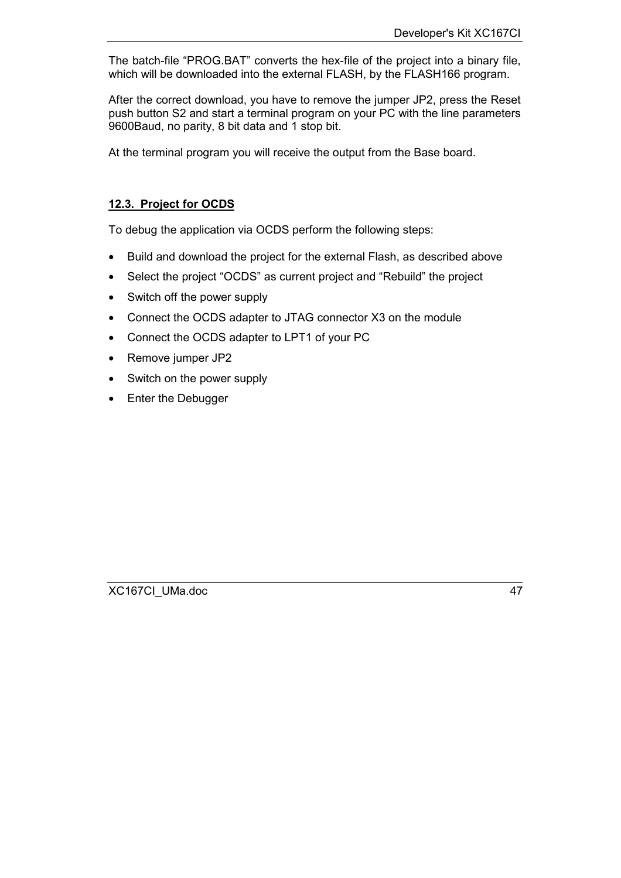The batch-file "PROG.BAT" converts the hex-file of the project into a binary file, which will be downloaded into the external FLASH, by the FLASH166 program.

After the correct download, you have to remove the jumper JP2, press the Reset push button S2 and start a terminal program on your PC with the line parameters 9600Baud, no parity, 8 bit data and 1 stop bit.

At the terminal program you will receive the output from the Base board.

### **12.3. Project for OCDS**

To debug the application via OCDS perform the following steps:

- Build and download the project for the external Flash, as described above
- Select the project "OCDS" as current project and "Rebuild" the project
- Switch off the power supply
- Connect the OCDS adapter to JTAG connector X3 on the module
- Connect the OCDS adapter to LPT1 of your PC
- Remove jumper JP2
- Switch on the power supply
- Enter the Debugger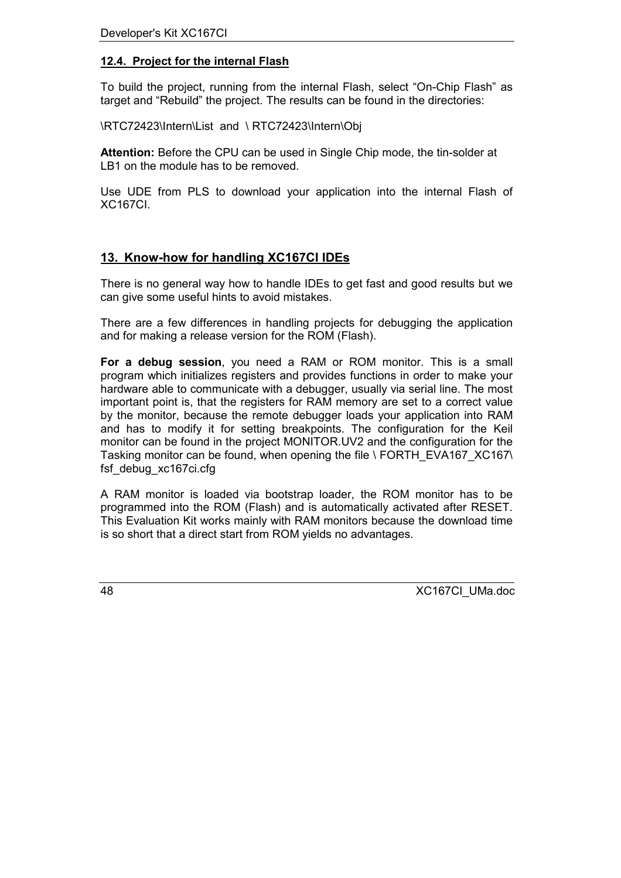#### <span id="page-47-0"></span>**12.4. Project for the internal Flash**

To build the project, running from the internal Flash, select "On-Chip Flash" as target and "Rebuild" the project. The results can be found in the directories:

\RTC72423\Intern\List and \ RTC72423\Intern\Obj

**Attention:** Before the CPU can be used in Single Chip mode, the tin-solder at LB1 on the module has to be removed.

Use UDE from PLS to download your application into the internal Flash of XC167CI.

### **13. Know-how for handling XC167CI IDEs**

There is no general way how to handle IDEs to get fast and good results but we can give some useful hints to avoid mistakes.

There are a few differences in handling projects for debugging the application and for making a release version for the ROM (Flash).

**For a debug session**, you need a RAM or ROM monitor. This is a small program which initializes registers and provides functions in order to make your hardware able to communicate with a debugger, usually via serial line. The most important point is, that the registers for RAM memory are set to a correct value by the monitor, because the remote debugger loads your application into RAM and has to modify it for setting breakpoints. The configuration for the Keil monitor can be found in the project MONITOR.UV2 and the configuration for the Tasking monitor can be found, when opening the file \ FORTH\_EVA167\_XC167\ fsf debug xc167ci.cfg

A RAM monitor is loaded via bootstrap loader, the ROM monitor has to be programmed into the ROM (Flash) and is automatically activated after RESET. This Evaluation Kit works mainly with RAM monitors because the download time is so short that a direct start from ROM yields no advantages.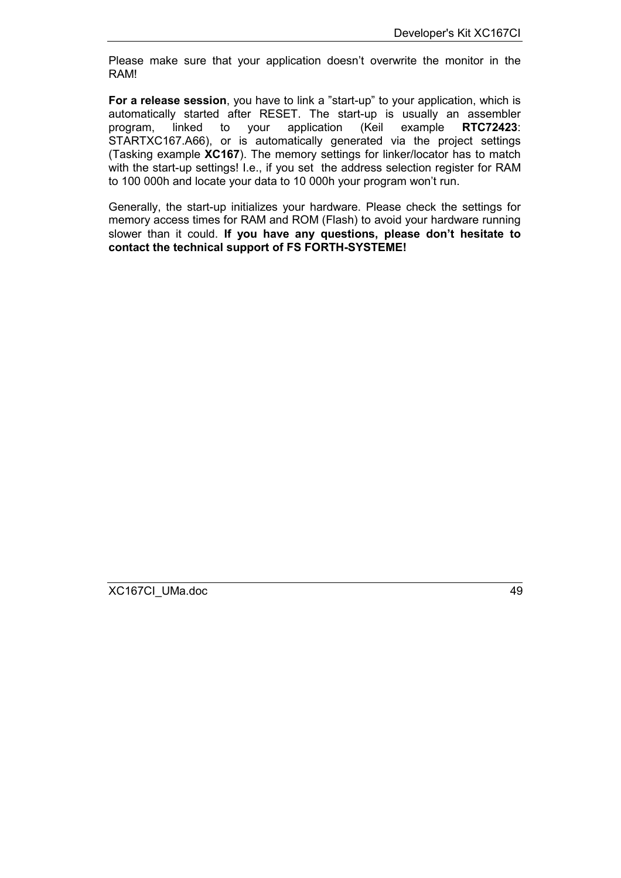Please make sure that your application doesn't overwrite the monitor in the RAM!

**For a release session**, you have to link a "start-up" to your application, which is automatically started after RESET. The start-up is usually an assembler program, linked to your application (Keil example **RTC72423**: STARTXC167.A66), or is automatically generated via the project settings (Tasking example **XC167**). The memory settings for linker/locator has to match with the start-up settings! I.e., if you set the address selection register for RAM to 100 000h and locate your data to 10 000h your program won't run.

Generally, the start-up initializes your hardware. Please check the settings for memory access times for RAM and ROM (Flash) to avoid your hardware running slower than it could. **If you have any questions, please don't hesitate to contact the technical support of FS FORTH-SYSTEME!**

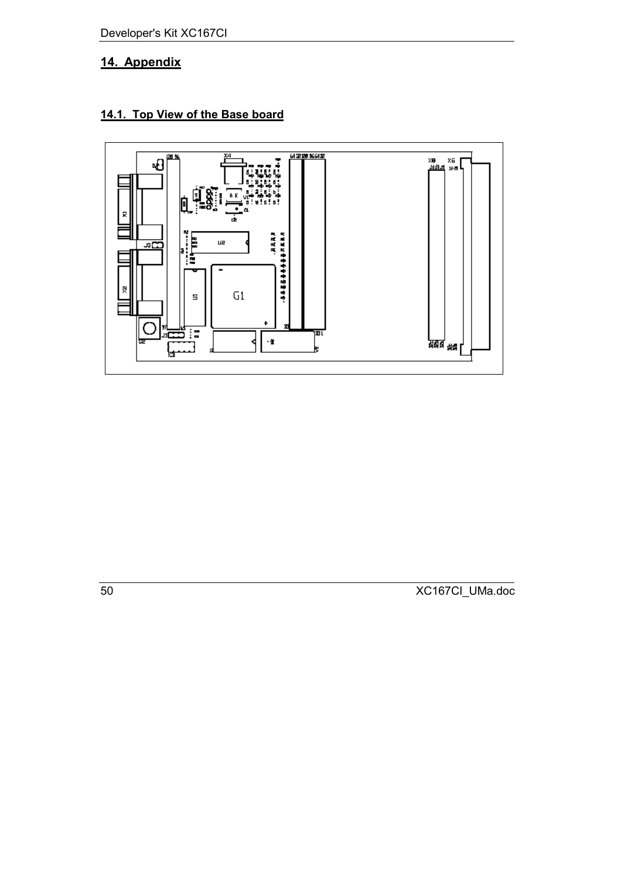<span id="page-49-0"></span>Developer's Kit XC167CI

### **14. Appendix**

### **14.1. Top View of the Base board**

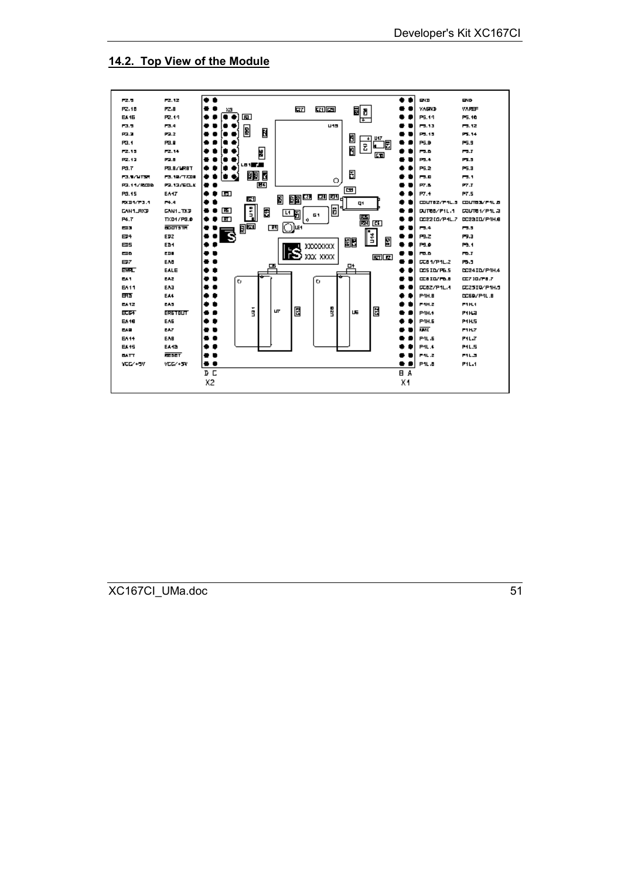#### **14.2. Top View of the Module**

<span id="page-50-0"></span>